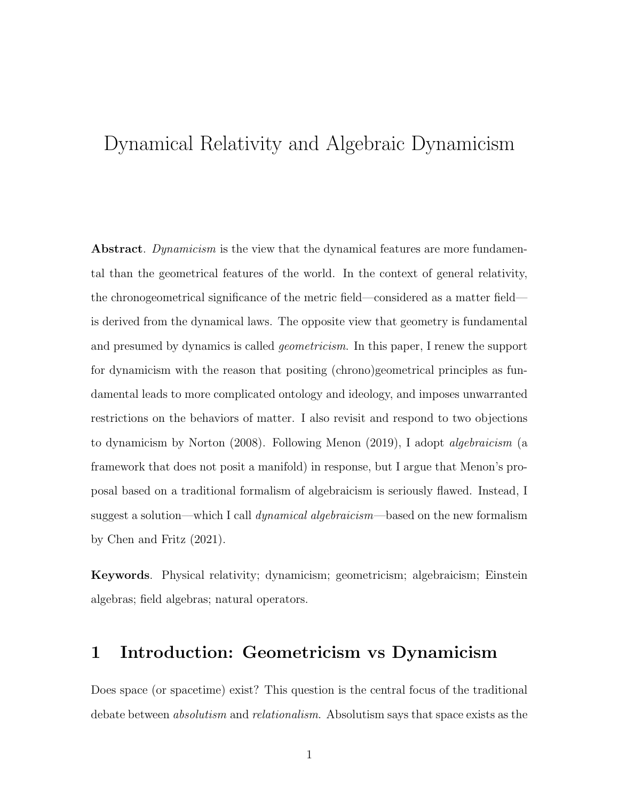# Dynamical Relativity and Algebraic Dynamicism

Abstract. Dynamicism is the view that the dynamical features are more fundamental than the geometrical features of the world. In the context of general relativity, the chronogeometrical significance of the metric field—considered as a matter field is derived from the dynamical laws. The opposite view that geometry is fundamental and presumed by dynamics is called *geometricism*. In this paper, I renew the support for dynamicism with the reason that positing (chrono)geometrical principles as fundamental leads to more complicated ontology and ideology, and imposes unwarranted restrictions on the behaviors of matter. I also revisit and respond to two objections to dynamicism by Norton (2008). Following Menon (2019), I adopt algebraicism (a framework that does not posit a manifold) in response, but I argue that Menon's proposal based on a traditional formalism of algebraicism is seriously flawed. Instead, I suggest a solution—which I call *dynamical algebraicism*—based on the new formalism by Chen and Fritz (2021).

Keywords. Physical relativity; dynamicism; geometricism; algebraicism; Einstein algebras; field algebras; natural operators.

# 1 Introduction: Geometricism vs Dynamicism

Does space (or spacetime) exist? This question is the central focus of the traditional debate between *absolutism* and *relationalism*. Absolutism says that space exists as the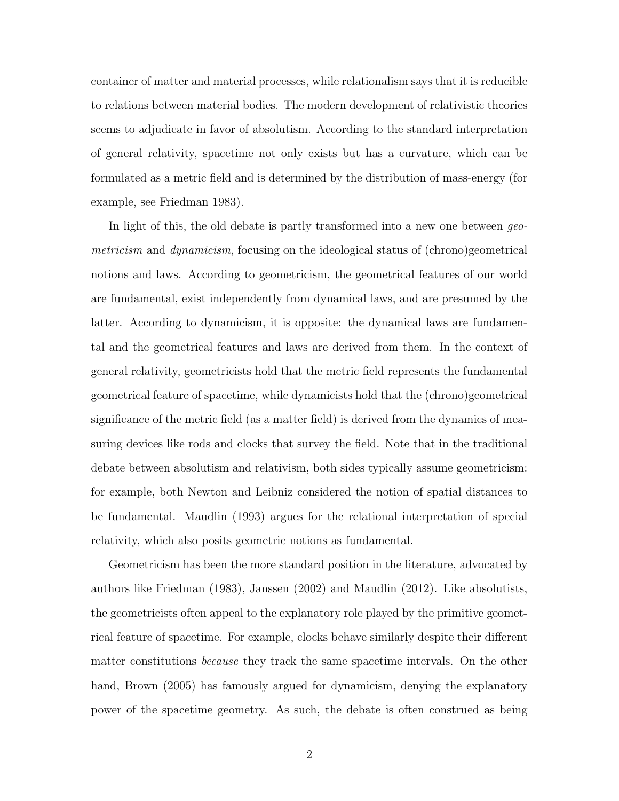container of matter and material processes, while relationalism says that it is reducible to relations between material bodies. The modern development of relativistic theories seems to adjudicate in favor of absolutism. According to the standard interpretation of general relativity, spacetime not only exists but has a curvature, which can be formulated as a metric field and is determined by the distribution of mass-energy (for example, see Friedman 1983).

In light of this, the old debate is partly transformed into a new one between geometricism and dynamicism, focusing on the ideological status of (chrono)geometrical notions and laws. According to geometricism, the geometrical features of our world are fundamental, exist independently from dynamical laws, and are presumed by the latter. According to dynamicism, it is opposite: the dynamical laws are fundamental and the geometrical features and laws are derived from them. In the context of general relativity, geometricists hold that the metric field represents the fundamental geometrical feature of spacetime, while dynamicists hold that the (chrono)geometrical significance of the metric field (as a matter field) is derived from the dynamics of measuring devices like rods and clocks that survey the field. Note that in the traditional debate between absolutism and relativism, both sides typically assume geometricism: for example, both Newton and Leibniz considered the notion of spatial distances to be fundamental. Maudlin (1993) argues for the relational interpretation of special relativity, which also posits geometric notions as fundamental.

Geometricism has been the more standard position in the literature, advocated by authors like Friedman (1983), Janssen (2002) and Maudlin (2012). Like absolutists, the geometricists often appeal to the explanatory role played by the primitive geometrical feature of spacetime. For example, clocks behave similarly despite their different matter constitutions *because* they track the same spacetime intervals. On the other hand, Brown (2005) has famously argued for dynamicism, denying the explanatory power of the spacetime geometry. As such, the debate is often construed as being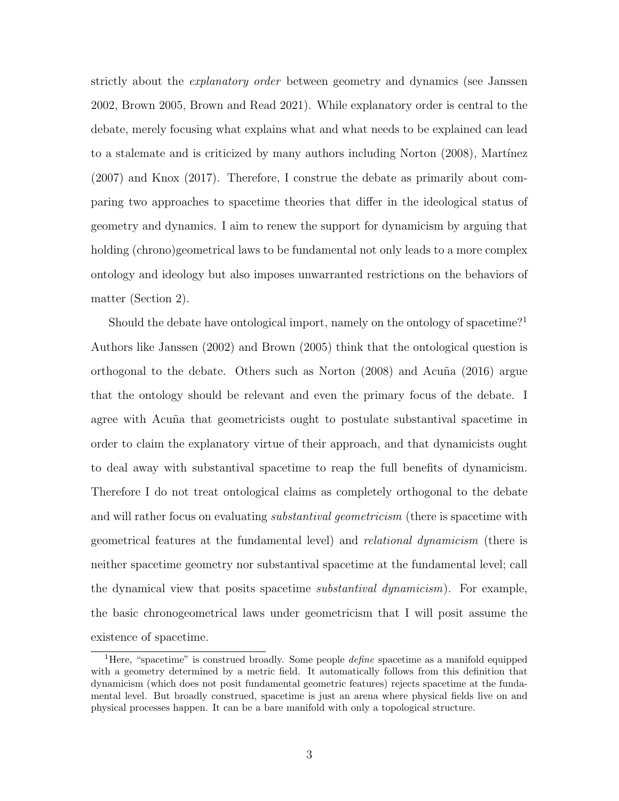strictly about the *explanatory order* between geometry and dynamics (see Janssen 2002, Brown 2005, Brown and Read 2021). While explanatory order is central to the debate, merely focusing what explains what and what needs to be explained can lead to a stalemate and is criticized by many authors including Norton (2008), Martínez (2007) and Knox (2017). Therefore, I construe the debate as primarily about comparing two approaches to spacetime theories that differ in the ideological status of geometry and dynamics. I aim to renew the support for dynamicism by arguing that holding (chrono)geometrical laws to be fundamental not only leads to a more complex ontology and ideology but also imposes unwarranted restrictions on the behaviors of matter (Section 2).

Should the debate have ontological import, namely on the ontology of spacetime?<sup>1</sup> Authors like Janssen (2002) and Brown (2005) think that the ontological question is orthogonal to the debate. Others such as Norton  $(2008)$  and Acuña  $(2016)$  argue that the ontology should be relevant and even the primary focus of the debate. I agree with Acuña that geometricists ought to postulate substantival spacetime in order to claim the explanatory virtue of their approach, and that dynamicists ought to deal away with substantival spacetime to reap the full benefits of dynamicism. Therefore I do not treat ontological claims as completely orthogonal to the debate and will rather focus on evaluating *substantival geometricism* (there is spacetime with geometrical features at the fundamental level) and relational dynamicism (there is neither spacetime geometry nor substantival spacetime at the fundamental level; call the dynamical view that posits spacetime substantival dynamicism). For example, the basic chronogeometrical laws under geometricism that I will posit assume the existence of spacetime.

<sup>&</sup>lt;sup>1</sup>Here, "spacetime" is construed broadly. Some people *define* spacetime as a manifold equipped with a geometry determined by a metric field. It automatically follows from this definition that dynamicism (which does not posit fundamental geometric features) rejects spacetime at the fundamental level. But broadly construed, spacetime is just an arena where physical fields live on and physical processes happen. It can be a bare manifold with only a topological structure.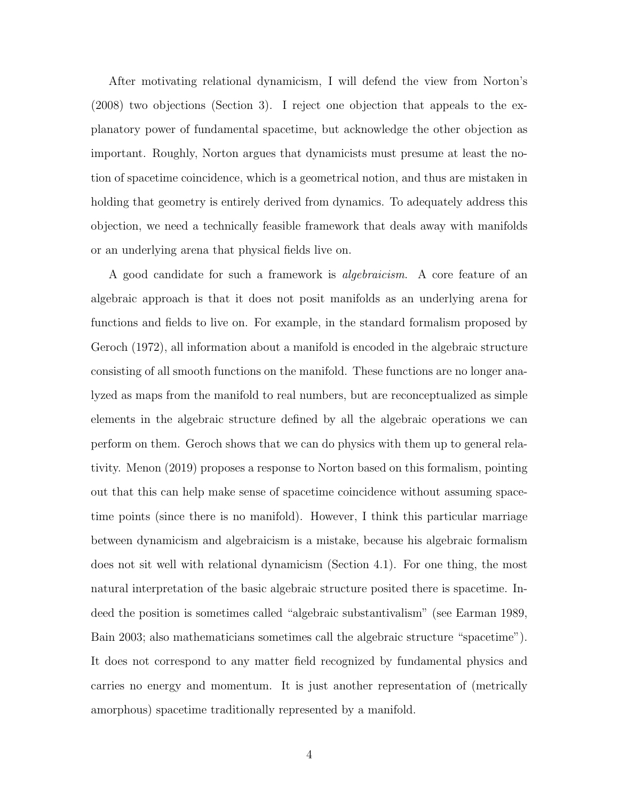After motivating relational dynamicism, I will defend the view from Norton's (2008) two objections (Section 3). I reject one objection that appeals to the explanatory power of fundamental spacetime, but acknowledge the other objection as important. Roughly, Norton argues that dynamicists must presume at least the notion of spacetime coincidence, which is a geometrical notion, and thus are mistaken in holding that geometry is entirely derived from dynamics. To adequately address this objection, we need a technically feasible framework that deals away with manifolds or an underlying arena that physical fields live on.

A good candidate for such a framework is algebraicism. A core feature of an algebraic approach is that it does not posit manifolds as an underlying arena for functions and fields to live on. For example, in the standard formalism proposed by Geroch (1972), all information about a manifold is encoded in the algebraic structure consisting of all smooth functions on the manifold. These functions are no longer analyzed as maps from the manifold to real numbers, but are reconceptualized as simple elements in the algebraic structure defined by all the algebraic operations we can perform on them. Geroch shows that we can do physics with them up to general relativity. Menon (2019) proposes a response to Norton based on this formalism, pointing out that this can help make sense of spacetime coincidence without assuming spacetime points (since there is no manifold). However, I think this particular marriage between dynamicism and algebraicism is a mistake, because his algebraic formalism does not sit well with relational dynamicism (Section 4.1). For one thing, the most natural interpretation of the basic algebraic structure posited there is spacetime. Indeed the position is sometimes called "algebraic substantivalism" (see Earman 1989, Bain 2003; also mathematicians sometimes call the algebraic structure "spacetime"). It does not correspond to any matter field recognized by fundamental physics and carries no energy and momentum. It is just another representation of (metrically amorphous) spacetime traditionally represented by a manifold.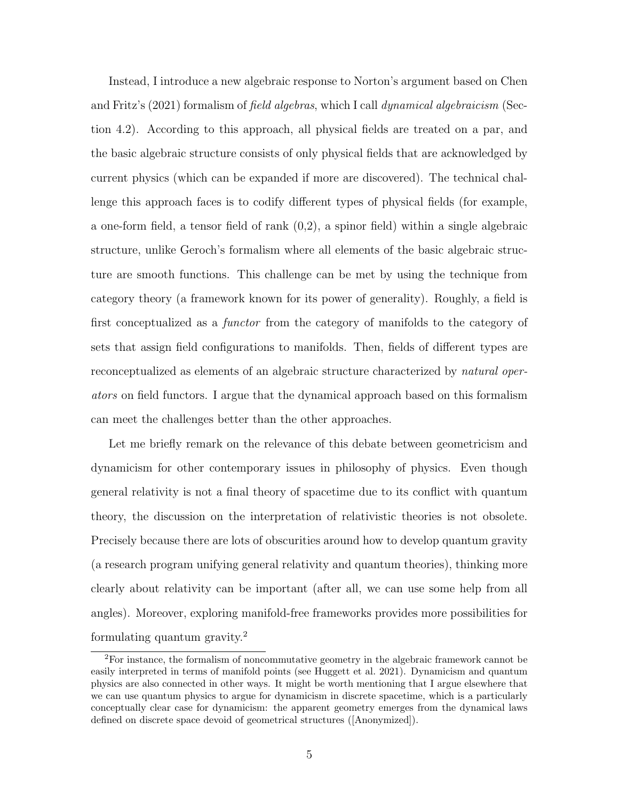Instead, I introduce a new algebraic response to Norton's argument based on Chen and Fritz's (2021) formalism of field algebras, which I call dynamical algebraicism (Section 4.2). According to this approach, all physical fields are treated on a par, and the basic algebraic structure consists of only physical fields that are acknowledged by current physics (which can be expanded if more are discovered). The technical challenge this approach faces is to codify different types of physical fields (for example, a one-form field, a tensor field of rank (0,2), a spinor field) within a single algebraic structure, unlike Geroch's formalism where all elements of the basic algebraic structure are smooth functions. This challenge can be met by using the technique from category theory (a framework known for its power of generality). Roughly, a field is first conceptualized as a functor from the category of manifolds to the category of sets that assign field configurations to manifolds. Then, fields of different types are reconceptualized as elements of an algebraic structure characterized by *natural oper*ators on field functors. I argue that the dynamical approach based on this formalism can meet the challenges better than the other approaches.

Let me briefly remark on the relevance of this debate between geometricism and dynamicism for other contemporary issues in philosophy of physics. Even though general relativity is not a final theory of spacetime due to its conflict with quantum theory, the discussion on the interpretation of relativistic theories is not obsolete. Precisely because there are lots of obscurities around how to develop quantum gravity (a research program unifying general relativity and quantum theories), thinking more clearly about relativity can be important (after all, we can use some help from all angles). Moreover, exploring manifold-free frameworks provides more possibilities for formulating quantum gravity.<sup>2</sup>

<sup>2</sup>For instance, the formalism of noncommutative geometry in the algebraic framework cannot be easily interpreted in terms of manifold points (see Huggett et al. 2021). Dynamicism and quantum physics are also connected in other ways. It might be worth mentioning that I argue elsewhere that we can use quantum physics to argue for dynamicism in discrete spacetime, which is a particularly conceptually clear case for dynamicism: the apparent geometry emerges from the dynamical laws defined on discrete space devoid of geometrical structures ([Anonymized]).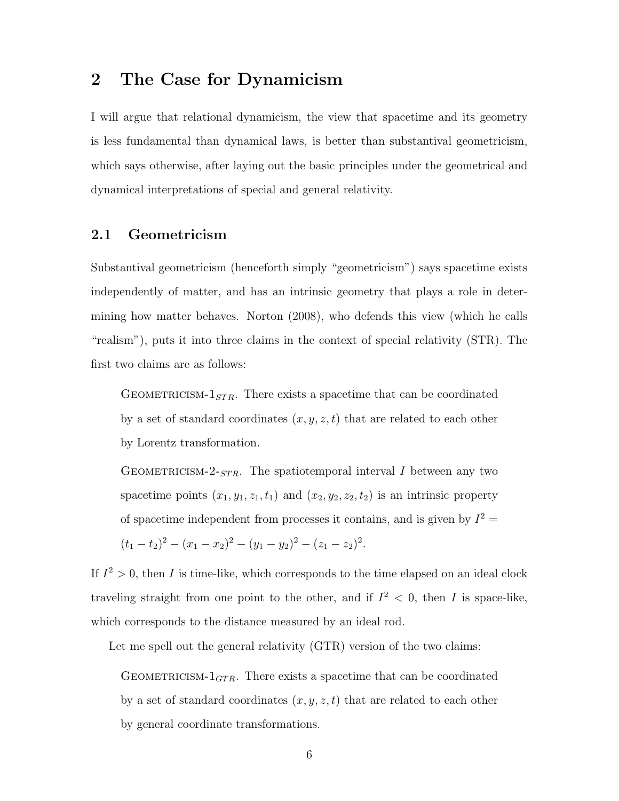### 2 The Case for Dynamicism

I will argue that relational dynamicism, the view that spacetime and its geometry is less fundamental than dynamical laws, is better than substantival geometricism, which says otherwise, after laying out the basic principles under the geometrical and dynamical interpretations of special and general relativity.

### 2.1 Geometricism

Substantival geometricism (henceforth simply "geometricism") says spacetime exists independently of matter, and has an intrinsic geometry that plays a role in determining how matter behaves. Norton (2008), who defends this view (which he calls "realism"), puts it into three claims in the context of special relativity (STR). The first two claims are as follows:

GEOMETRICISM- $1<sub>STR</sub>$ . There exists a spacetime that can be coordinated by a set of standard coordinates  $(x, y, z, t)$  that are related to each other by Lorentz transformation.

GEOMETRICISM-2- $_{STR}$ . The spatiotemporal interval I between any two spacetime points  $(x_1, y_1, z_1, t_1)$  and  $(x_2, y_2, z_2, t_2)$  is an intrinsic property of spacetime independent from processes it contains, and is given by  $I^2 =$ 

.

$$
(t_1 - t_2)^2 - (x_1 - x_2)^2 - (y_1 - y_2)^2 - (z_1 - z_2)^2
$$

If  $I^2 > 0$ , then I is time-like, which corresponds to the time elapsed on an ideal clock traveling straight from one point to the other, and if  $I^2 < 0$ , then I is space-like, which corresponds to the distance measured by an ideal rod.

Let me spell out the general relativity (GTR) version of the two claims:

GEOMETRICISM- $1_{GTR}$ . There exists a spacetime that can be coordinated by a set of standard coordinates  $(x, y, z, t)$  that are related to each other by general coordinate transformations.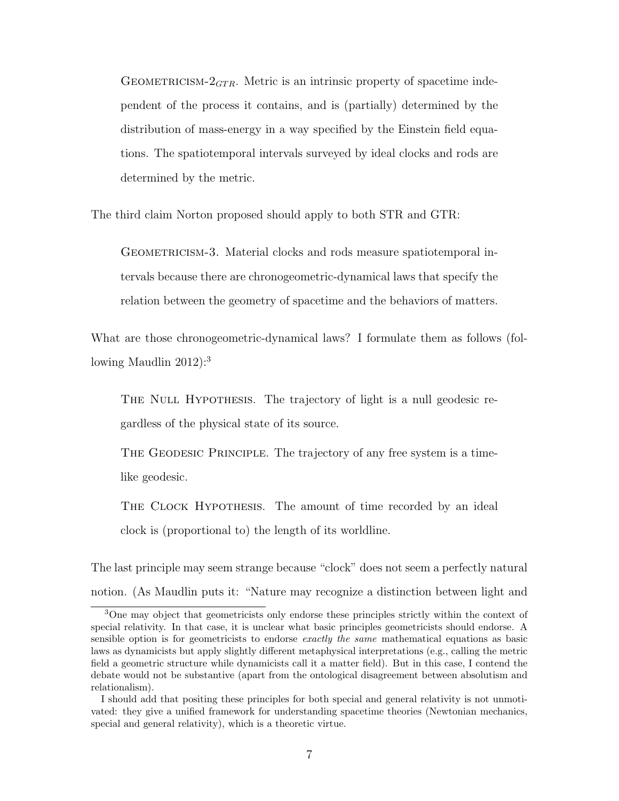GEOMETRICISM- $2<sub>GTR</sub>$ . Metric is an intrinsic property of spacetime independent of the process it contains, and is (partially) determined by the distribution of mass-energy in a way specified by the Einstein field equations. The spatiotemporal intervals surveyed by ideal clocks and rods are determined by the metric.

The third claim Norton proposed should apply to both STR and GTR:

GEOMETRICISM-3. Material clocks and rods measure spatiotemporal intervals because there are chronogeometric-dynamical laws that specify the relation between the geometry of spacetime and the behaviors of matters.

What are those chronogeometric-dynamical laws? I formulate them as follows (following Maudlin  $2012$ :<sup>3</sup>

THE NULL HYPOTHESIS. The trajectory of light is a null geodesic regardless of the physical state of its source.

THE GEODESIC PRINCIPLE. The trajectory of any free system is a timelike geodesic.

THE CLOCK HYPOTHESIS. The amount of time recorded by an ideal clock is (proportional to) the length of its worldline.

The last principle may seem strange because "clock" does not seem a perfectly natural notion. (As Maudlin puts it: "Nature may recognize a distinction between light and

<sup>3</sup>One may object that geometricists only endorse these principles strictly within the context of special relativity. In that case, it is unclear what basic principles geometricists should endorse. A sensible option is for geometricists to endorse exactly the same mathematical equations as basic laws as dynamicists but apply slightly different metaphysical interpretations (e.g., calling the metric field a geometric structure while dynamicists call it a matter field). But in this case, I contend the debate would not be substantive (apart from the ontological disagreement between absolutism and relationalism).

I should add that positing these principles for both special and general relativity is not unmotivated: they give a unified framework for understanding spacetime theories (Newtonian mechanics, special and general relativity), which is a theoretic virtue.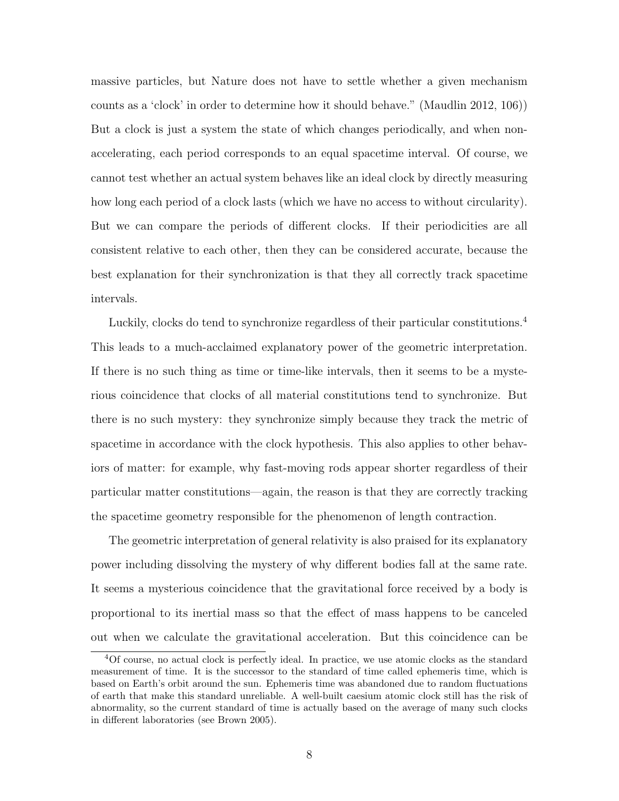massive particles, but Nature does not have to settle whether a given mechanism counts as a 'clock' in order to determine how it should behave." (Maudlin 2012, 106)) But a clock is just a system the state of which changes periodically, and when nonaccelerating, each period corresponds to an equal spacetime interval. Of course, we cannot test whether an actual system behaves like an ideal clock by directly measuring how long each period of a clock lasts (which we have no access to without circularity). But we can compare the periods of different clocks. If their periodicities are all consistent relative to each other, then they can be considered accurate, because the best explanation for their synchronization is that they all correctly track spacetime intervals.

Luckily, clocks do tend to synchronize regardless of their particular constitutions.<sup>4</sup> This leads to a much-acclaimed explanatory power of the geometric interpretation. If there is no such thing as time or time-like intervals, then it seems to be a mysterious coincidence that clocks of all material constitutions tend to synchronize. But there is no such mystery: they synchronize simply because they track the metric of spacetime in accordance with the clock hypothesis. This also applies to other behaviors of matter: for example, why fast-moving rods appear shorter regardless of their particular matter constitutions—again, the reason is that they are correctly tracking the spacetime geometry responsible for the phenomenon of length contraction.

The geometric interpretation of general relativity is also praised for its explanatory power including dissolving the mystery of why different bodies fall at the same rate. It seems a mysterious coincidence that the gravitational force received by a body is proportional to its inertial mass so that the effect of mass happens to be canceled out when we calculate the gravitational acceleration. But this coincidence can be

<sup>4</sup>Of course, no actual clock is perfectly ideal. In practice, we use atomic clocks as the standard measurement of time. It is the successor to the standard of time called ephemeris time, which is based on Earth's orbit around the sun. Ephemeris time was abandoned due to random fluctuations of earth that make this standard unreliable. A well-built caesium atomic clock still has the risk of abnormality, so the current standard of time is actually based on the average of many such clocks in different laboratories (see Brown 2005).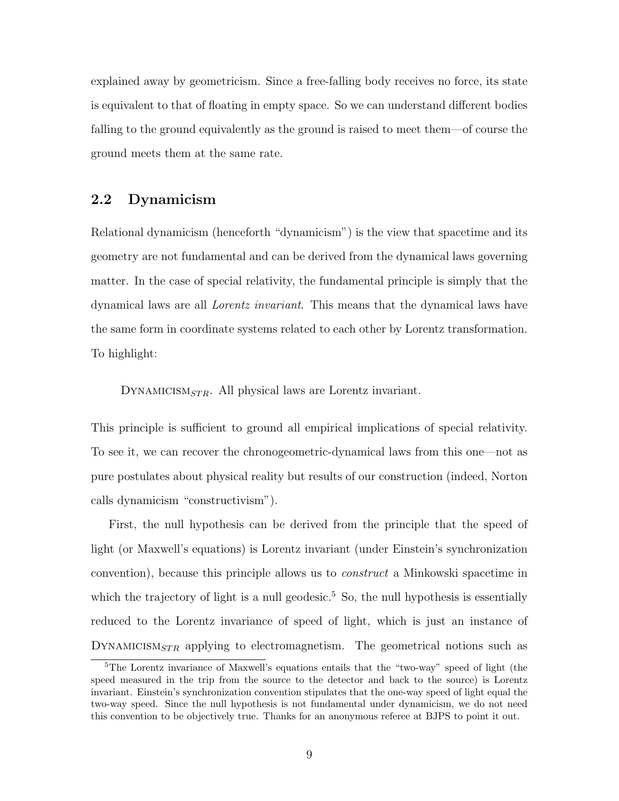explained away by geometricism. Since a free-falling body receives no force, its state is equivalent to that of floating in empty space. So we can understand different bodies falling to the ground equivalently as the ground is raised to meet them—of course the ground meets them at the same rate.

#### 2.2 Dynamicism

Relational dynamicism (henceforth "dynamicism") is the view that spacetime and its geometry are not fundamental and can be derived from the dynamical laws governing matter. In the case of special relativity, the fundamental principle is simply that the dynamical laws are all Lorentz invariant. This means that the dynamical laws have the same form in coordinate systems related to each other by Lorentz transformation. To highlight:

DYNAMICISM<sub>STR</sub>. All physical laws are Lorentz invariant.

This principle is sufficient to ground all empirical implications of special relativity. To see it, we can recover the chronogeometric-dynamical laws from this one—not as pure postulates about physical reality but results of our construction (indeed, Norton calls dynamicism "constructivism").

First, the null hypothesis can be derived from the principle that the speed of light (or Maxwell's equations) is Lorentz invariant (under Einstein's synchronization convention), because this principle allows us to construct a Minkowski spacetime in which the trajectory of light is a null geodesic.<sup>5</sup> So, the null hypothesis is essentially reduced to the Lorentz invariance of speed of light, which is just an instance of DYNAMICISM<sub>STR</sub> applying to electromagnetism. The geometrical notions such as

<sup>&</sup>lt;sup>5</sup>The Lorentz invariance of Maxwell's equations entails that the "two-way" speed of light (the speed measured in the trip from the source to the detector and back to the source) is Lorentz invariant. Einstein's synchronization convention stipulates that the one-way speed of light equal the two-way speed. Since the null hypothesis is not fundamental under dynamicism, we do not need this convention to be objectively true. Thanks for an anonymous referee at BJPS to point it out.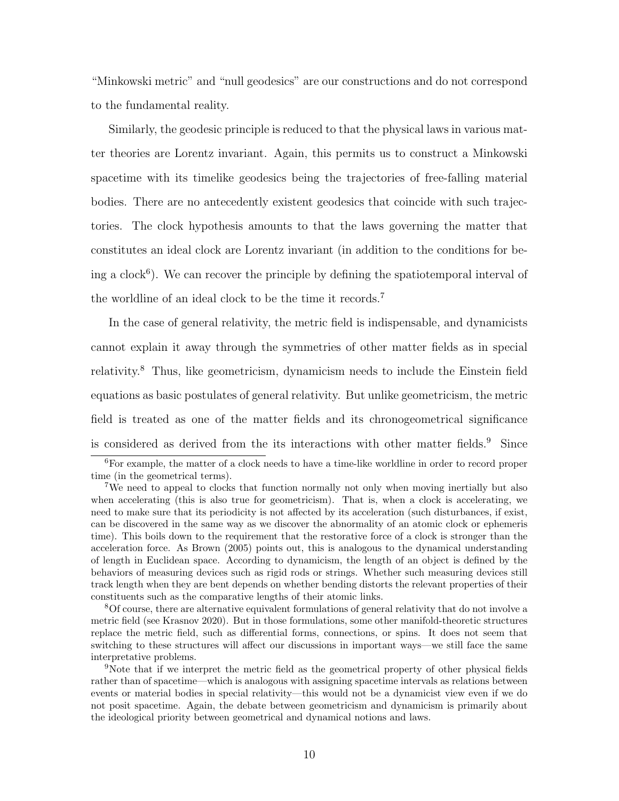"Minkowski metric" and "null geodesics" are our constructions and do not correspond to the fundamental reality.

Similarly, the geodesic principle is reduced to that the physical laws in various matter theories are Lorentz invariant. Again, this permits us to construct a Minkowski spacetime with its timelike geodesics being the trajectories of free-falling material bodies. There are no antecedently existent geodesics that coincide with such trajectories. The clock hypothesis amounts to that the laws governing the matter that constitutes an ideal clock are Lorentz invariant (in addition to the conditions for being a clock<sup>6</sup>). We can recover the principle by defining the spatiotemporal interval of the worldline of an ideal clock to be the time it records.<sup>7</sup>

In the case of general relativity, the metric field is indispensable, and dynamicists cannot explain it away through the symmetries of other matter fields as in special relativity.<sup>8</sup> Thus, like geometricism, dynamicism needs to include the Einstein field equations as basic postulates of general relativity. But unlike geometricism, the metric field is treated as one of the matter fields and its chronogeometrical significance is considered as derived from the its interactions with other matter fields.<sup>9</sup> Since

<sup>8</sup>Of course, there are alternative equivalent formulations of general relativity that do not involve a metric field (see Krasnov 2020). But in those formulations, some other manifold-theoretic structures replace the metric field, such as differential forms, connections, or spins. It does not seem that switching to these structures will affect our discussions in important ways—we still face the same interpretative problems.

<sup>6</sup>For example, the matter of a clock needs to have a time-like worldline in order to record proper time (in the geometrical terms).

<sup>7</sup>We need to appeal to clocks that function normally not only when moving inertially but also when accelerating (this is also true for geometricism). That is, when a clock is accelerating, we need to make sure that its periodicity is not affected by its acceleration (such disturbances, if exist, can be discovered in the same way as we discover the abnormality of an atomic clock or ephemeris time). This boils down to the requirement that the restorative force of a clock is stronger than the acceleration force. As Brown (2005) points out, this is analogous to the dynamical understanding of length in Euclidean space. According to dynamicism, the length of an object is defined by the behaviors of measuring devices such as rigid rods or strings. Whether such measuring devices still track length when they are bent depends on whether bending distorts the relevant properties of their constituents such as the comparative lengths of their atomic links.

<sup>9</sup>Note that if we interpret the metric field as the geometrical property of other physical fields rather than of spacetime—which is analogous with assigning spacetime intervals as relations between events or material bodies in special relativity—this would not be a dynamicist view even if we do not posit spacetime. Again, the debate between geometricism and dynamicism is primarily about the ideological priority between geometrical and dynamical notions and laws.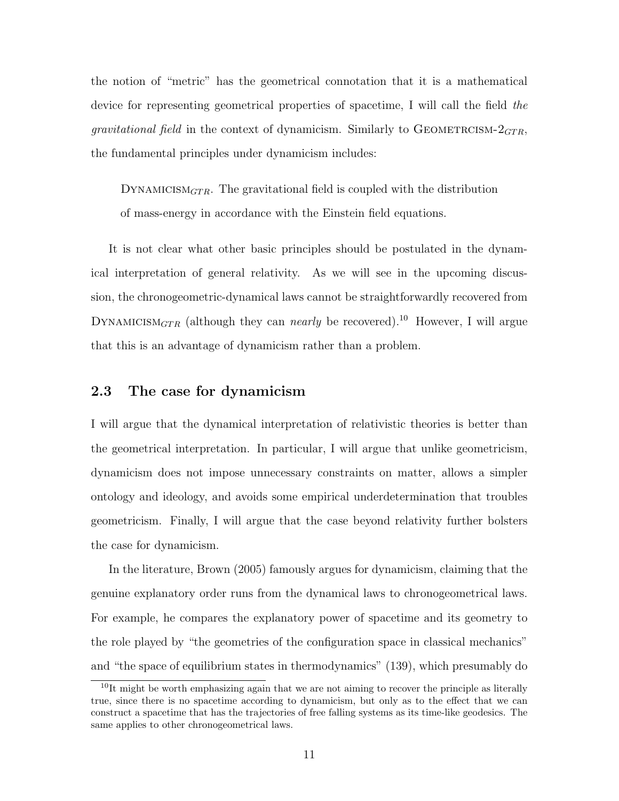the notion of "metric" has the geometrical connotation that it is a mathematical device for representing geometrical properties of spacetime, I will call the field the *gravitational field* in the context of dynamicism. Similarly to GEOMETRCISM- $2<sub>GTR</sub>$ , the fundamental principles under dynamicism includes:

DYNAMICISM $_{GTR}$ . The gravitational field is coupled with the distribution of mass-energy in accordance with the Einstein field equations.

It is not clear what other basic principles should be postulated in the dynamical interpretation of general relativity. As we will see in the upcoming discussion, the chronogeometric-dynamical laws cannot be straightforwardly recovered from DYNAMICISM<sub>GTR</sub> (although they can *nearly* be recovered).<sup>10</sup> However, I will argue that this is an advantage of dynamicism rather than a problem.

#### 2.3 The case for dynamicism

I will argue that the dynamical interpretation of relativistic theories is better than the geometrical interpretation. In particular, I will argue that unlike geometricism, dynamicism does not impose unnecessary constraints on matter, allows a simpler ontology and ideology, and avoids some empirical underdetermination that troubles geometricism. Finally, I will argue that the case beyond relativity further bolsters the case for dynamicism.

In the literature, Brown (2005) famously argues for dynamicism, claiming that the genuine explanatory order runs from the dynamical laws to chronogeometrical laws. For example, he compares the explanatory power of spacetime and its geometry to the role played by "the geometries of the configuration space in classical mechanics" and "the space of equilibrium states in thermodynamics" (139), which presumably do

 $10$ It might be worth emphasizing again that we are not aiming to recover the principle as literally true, since there is no spacetime according to dynamicism, but only as to the effect that we can construct a spacetime that has the trajectories of free falling systems as its time-like geodesics. The same applies to other chronogeometrical laws.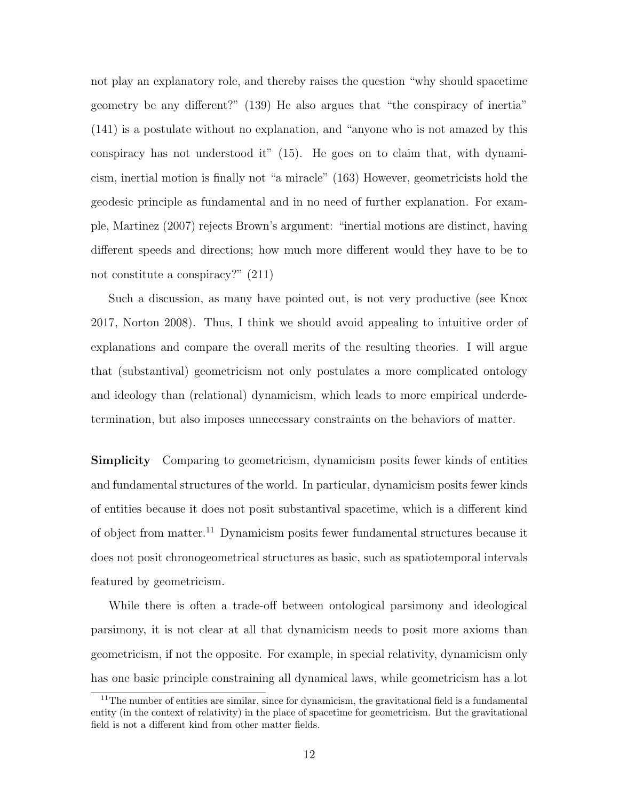not play an explanatory role, and thereby raises the question "why should spacetime geometry be any different?" (139) He also argues that "the conspiracy of inertia" (141) is a postulate without no explanation, and "anyone who is not amazed by this conspiracy has not understood it" (15). He goes on to claim that, with dynamicism, inertial motion is finally not "a miracle" (163) However, geometricists hold the geodesic principle as fundamental and in no need of further explanation. For example, Martinez (2007) rejects Brown's argument: "inertial motions are distinct, having different speeds and directions; how much more different would they have to be to not constitute a conspiracy?" (211)

Such a discussion, as many have pointed out, is not very productive (see Knox 2017, Norton 2008). Thus, I think we should avoid appealing to intuitive order of explanations and compare the overall merits of the resulting theories. I will argue that (substantival) geometricism not only postulates a more complicated ontology and ideology than (relational) dynamicism, which leads to more empirical underdetermination, but also imposes unnecessary constraints on the behaviors of matter.

Simplicity Comparing to geometricism, dynamicism posits fewer kinds of entities and fundamental structures of the world. In particular, dynamicism posits fewer kinds of entities because it does not posit substantival spacetime, which is a different kind of object from matter.<sup>11</sup> Dynamicism posits fewer fundamental structures because it does not posit chronogeometrical structures as basic, such as spatiotemporal intervals featured by geometricism.

While there is often a trade-off between ontological parsimony and ideological parsimony, it is not clear at all that dynamicism needs to posit more axioms than geometricism, if not the opposite. For example, in special relativity, dynamicism only has one basic principle constraining all dynamical laws, while geometricism has a lot

 $11$ The number of entities are similar, since for dynamicism, the gravitational field is a fundamental entity (in the context of relativity) in the place of spacetime for geometricism. But the gravitational field is not a different kind from other matter fields.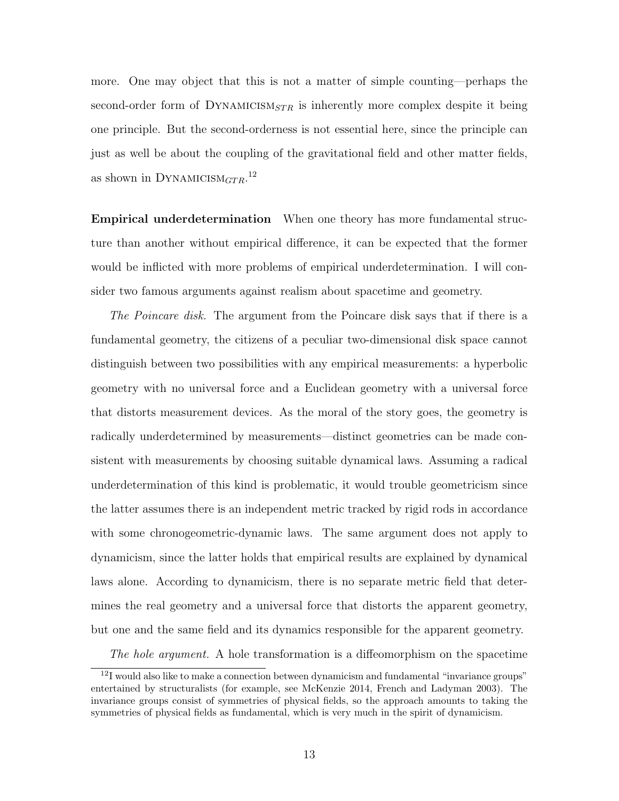more. One may object that this is not a matter of simple counting—perhaps the second-order form of DYNAMICISM<sub>STR</sub> is inherently more complex despite it being one principle. But the second-orderness is not essential here, since the principle can just as well be about the coupling of the gravitational field and other matter fields, as shown in DYNAMICISM $_{GTR}$ .<sup>12</sup>

Empirical underdetermination When one theory has more fundamental structure than another without empirical difference, it can be expected that the former would be inflicted with more problems of empirical underdetermination. I will consider two famous arguments against realism about spacetime and geometry.

The Poincare disk. The argument from the Poincare disk says that if there is a fundamental geometry, the citizens of a peculiar two-dimensional disk space cannot distinguish between two possibilities with any empirical measurements: a hyperbolic geometry with no universal force and a Euclidean geometry with a universal force that distorts measurement devices. As the moral of the story goes, the geometry is radically underdetermined by measurements—distinct geometries can be made consistent with measurements by choosing suitable dynamical laws. Assuming a radical underdetermination of this kind is problematic, it would trouble geometricism since the latter assumes there is an independent metric tracked by rigid rods in accordance with some chronogeometric-dynamic laws. The same argument does not apply to dynamicism, since the latter holds that empirical results are explained by dynamical laws alone. According to dynamicism, there is no separate metric field that determines the real geometry and a universal force that distorts the apparent geometry, but one and the same field and its dynamics responsible for the apparent geometry.

The hole argument. A hole transformation is a diffeomorphism on the spacetime

<sup>&</sup>lt;sup>12</sup>I would also like to make a connection between dynamicism and fundamental "invariance groups" entertained by structuralists (for example, see McKenzie 2014, French and Ladyman 2003). The invariance groups consist of symmetries of physical fields, so the approach amounts to taking the symmetries of physical fields as fundamental, which is very much in the spirit of dynamicism.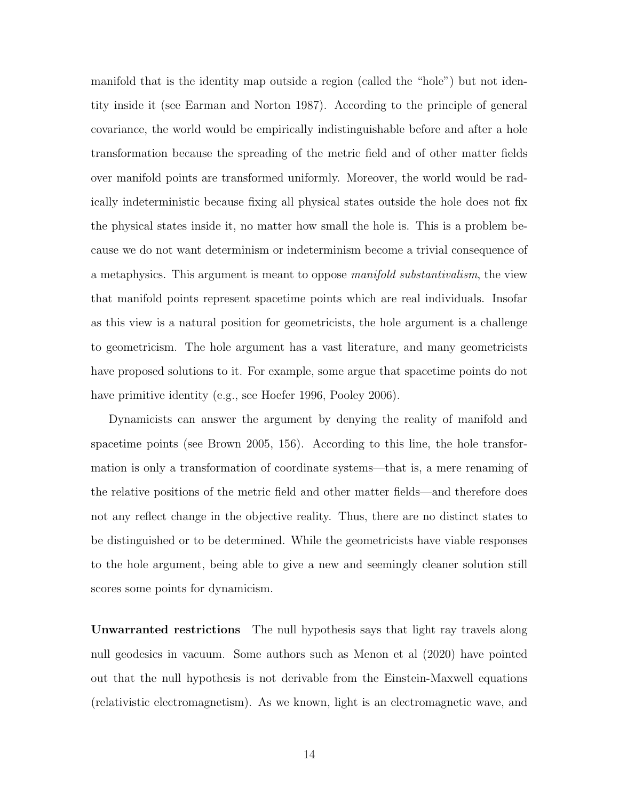manifold that is the identity map outside a region (called the "hole") but not identity inside it (see Earman and Norton 1987). According to the principle of general covariance, the world would be empirically indistinguishable before and after a hole transformation because the spreading of the metric field and of other matter fields over manifold points are transformed uniformly. Moreover, the world would be radically indeterministic because fixing all physical states outside the hole does not fix the physical states inside it, no matter how small the hole is. This is a problem because we do not want determinism or indeterminism become a trivial consequence of a metaphysics. This argument is meant to oppose *manifold substantivalism*, the view that manifold points represent spacetime points which are real individuals. Insofar as this view is a natural position for geometricists, the hole argument is a challenge to geometricism. The hole argument has a vast literature, and many geometricists have proposed solutions to it. For example, some argue that spacetime points do not have primitive identity (e.g., see Hoefer 1996, Pooley 2006).

Dynamicists can answer the argument by denying the reality of manifold and spacetime points (see Brown 2005, 156). According to this line, the hole transformation is only a transformation of coordinate systems—that is, a mere renaming of the relative positions of the metric field and other matter fields—and therefore does not any reflect change in the objective reality. Thus, there are no distinct states to be distinguished or to be determined. While the geometricists have viable responses to the hole argument, being able to give a new and seemingly cleaner solution still scores some points for dynamicism.

Unwarranted restrictions The null hypothesis says that light ray travels along null geodesics in vacuum. Some authors such as Menon et al (2020) have pointed out that the null hypothesis is not derivable from the Einstein-Maxwell equations (relativistic electromagnetism). As we known, light is an electromagnetic wave, and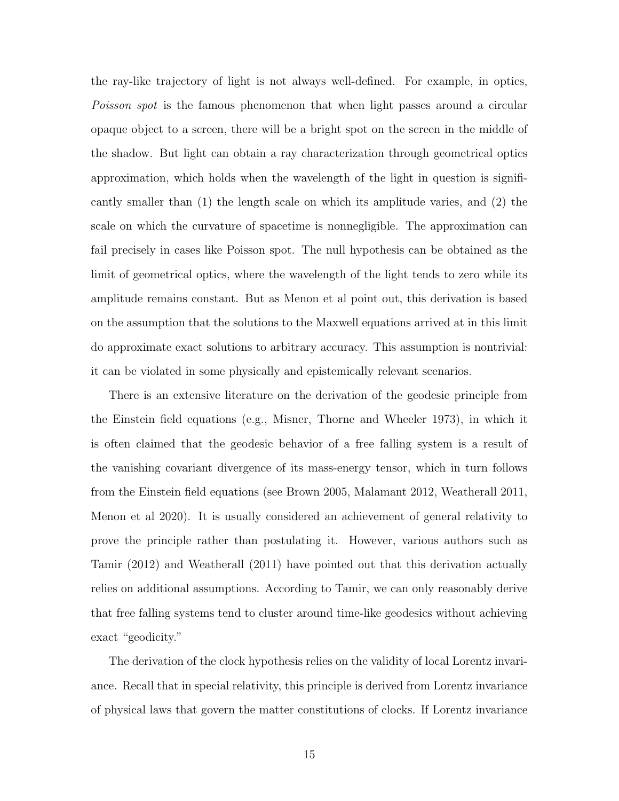the ray-like trajectory of light is not always well-defined. For example, in optics, Poisson spot is the famous phenomenon that when light passes around a circular opaque object to a screen, there will be a bright spot on the screen in the middle of the shadow. But light can obtain a ray characterization through geometrical optics approximation, which holds when the wavelength of the light in question is significantly smaller than (1) the length scale on which its amplitude varies, and (2) the scale on which the curvature of spacetime is nonnegligible. The approximation can fail precisely in cases like Poisson spot. The null hypothesis can be obtained as the limit of geometrical optics, where the wavelength of the light tends to zero while its amplitude remains constant. But as Menon et al point out, this derivation is based on the assumption that the solutions to the Maxwell equations arrived at in this limit do approximate exact solutions to arbitrary accuracy. This assumption is nontrivial: it can be violated in some physically and epistemically relevant scenarios.

There is an extensive literature on the derivation of the geodesic principle from the Einstein field equations (e.g., Misner, Thorne and Wheeler 1973), in which it is often claimed that the geodesic behavior of a free falling system is a result of the vanishing covariant divergence of its mass-energy tensor, which in turn follows from the Einstein field equations (see Brown 2005, Malamant 2012, Weatherall 2011, Menon et al 2020). It is usually considered an achievement of general relativity to prove the principle rather than postulating it. However, various authors such as Tamir (2012) and Weatherall (2011) have pointed out that this derivation actually relies on additional assumptions. According to Tamir, we can only reasonably derive that free falling systems tend to cluster around time-like geodesics without achieving exact "geodicity."

The derivation of the clock hypothesis relies on the validity of local Lorentz invariance. Recall that in special relativity, this principle is derived from Lorentz invariance of physical laws that govern the matter constitutions of clocks. If Lorentz invariance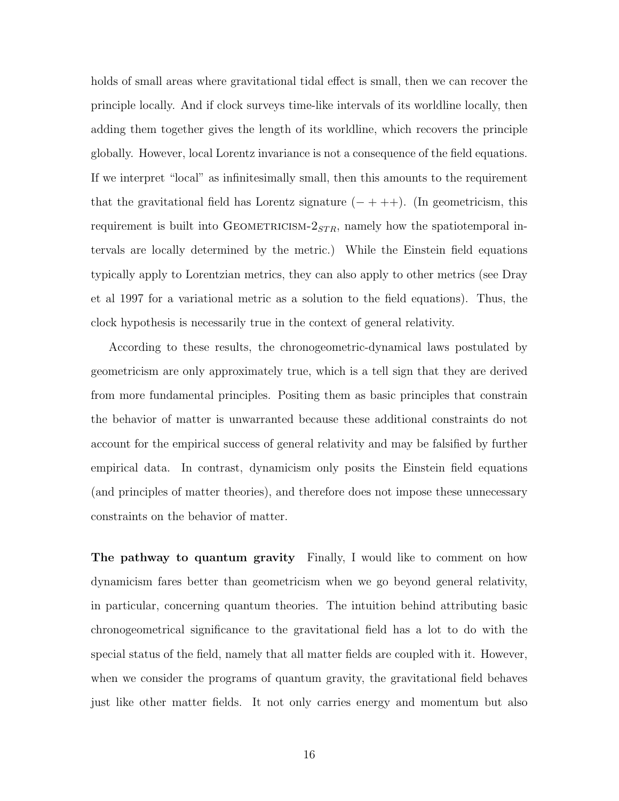holds of small areas where gravitational tidal effect is small, then we can recover the principle locally. And if clock surveys time-like intervals of its worldline locally, then adding them together gives the length of its worldline, which recovers the principle globally. However, local Lorentz invariance is not a consequence of the field equations. If we interpret "local" as infinitesimally small, then this amounts to the requirement that the gravitational field has Lorentz signature  $(- + + +)$ . (In geometricism, this requirement is built into GEOMETRICISM- $2<sub>STR</sub>$ , namely how the spatiotemporal intervals are locally determined by the metric.) While the Einstein field equations typically apply to Lorentzian metrics, they can also apply to other metrics (see Dray et al 1997 for a variational metric as a solution to the field equations). Thus, the clock hypothesis is necessarily true in the context of general relativity.

According to these results, the chronogeometric-dynamical laws postulated by geometricism are only approximately true, which is a tell sign that they are derived from more fundamental principles. Positing them as basic principles that constrain the behavior of matter is unwarranted because these additional constraints do not account for the empirical success of general relativity and may be falsified by further empirical data. In contrast, dynamicism only posits the Einstein field equations (and principles of matter theories), and therefore does not impose these unnecessary constraints on the behavior of matter.

The pathway to quantum gravity Finally, I would like to comment on how dynamicism fares better than geometricism when we go beyond general relativity, in particular, concerning quantum theories. The intuition behind attributing basic chronogeometrical significance to the gravitational field has a lot to do with the special status of the field, namely that all matter fields are coupled with it. However, when we consider the programs of quantum gravity, the gravitational field behaves just like other matter fields. It not only carries energy and momentum but also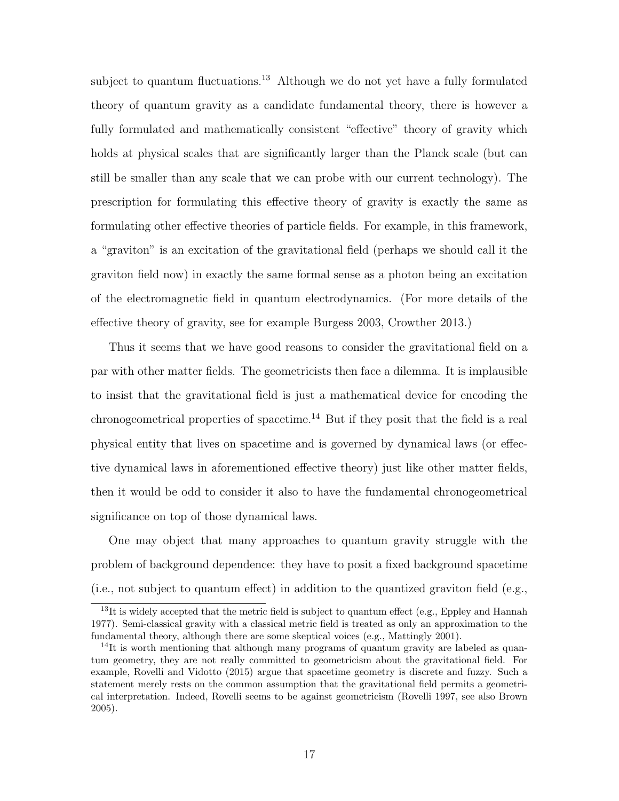subject to quantum fluctuations.<sup>13</sup> Although we do not yet have a fully formulated theory of quantum gravity as a candidate fundamental theory, there is however a fully formulated and mathematically consistent "effective" theory of gravity which holds at physical scales that are significantly larger than the Planck scale (but can still be smaller than any scale that we can probe with our current technology). The prescription for formulating this effective theory of gravity is exactly the same as formulating other effective theories of particle fields. For example, in this framework, a "graviton" is an excitation of the gravitational field (perhaps we should call it the graviton field now) in exactly the same formal sense as a photon being an excitation of the electromagnetic field in quantum electrodynamics. (For more details of the effective theory of gravity, see for example Burgess 2003, Crowther 2013.)

Thus it seems that we have good reasons to consider the gravitational field on a par with other matter fields. The geometricists then face a dilemma. It is implausible to insist that the gravitational field is just a mathematical device for encoding the chronogeometrical properties of spacetime.<sup>14</sup> But if they posit that the field is a real physical entity that lives on spacetime and is governed by dynamical laws (or effective dynamical laws in aforementioned effective theory) just like other matter fields, then it would be odd to consider it also to have the fundamental chronogeometrical significance on top of those dynamical laws.

One may object that many approaches to quantum gravity struggle with the problem of background dependence: they have to posit a fixed background spacetime (i.e., not subject to quantum effect) in addition to the quantized graviton field (e.g.,

 $13$ It is widely accepted that the metric field is subject to quantum effect (e.g., Eppley and Hannah 1977). Semi-classical gravity with a classical metric field is treated as only an approximation to the fundamental theory, although there are some skeptical voices (e.g., Mattingly 2001).

<sup>&</sup>lt;sup>14</sup>It is worth mentioning that although many programs of quantum gravity are labeled as quantum geometry, they are not really committed to geometricism about the gravitational field. For example, Rovelli and Vidotto (2015) argue that spacetime geometry is discrete and fuzzy. Such a statement merely rests on the common assumption that the gravitational field permits a geometrical interpretation. Indeed, Rovelli seems to be against geometricism (Rovelli 1997, see also Brown 2005).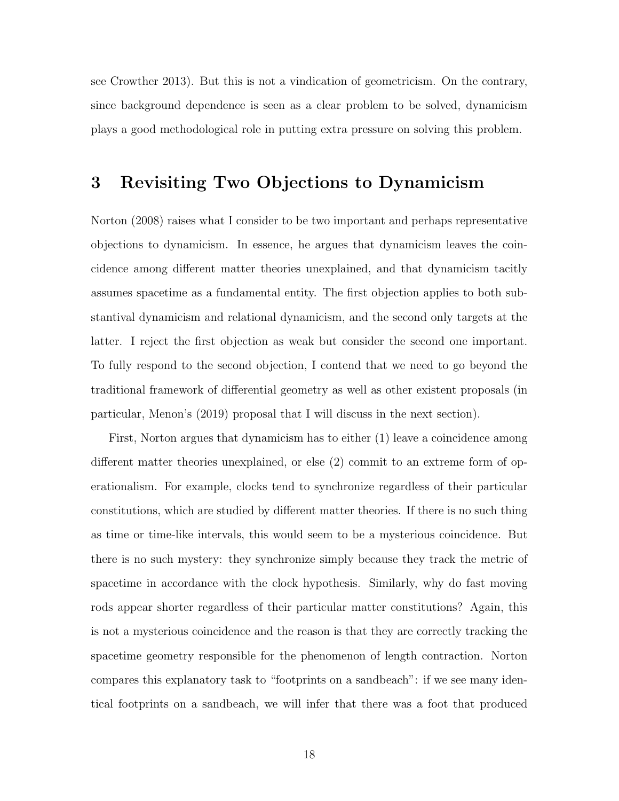see Crowther 2013). But this is not a vindication of geometricism. On the contrary, since background dependence is seen as a clear problem to be solved, dynamicism plays a good methodological role in putting extra pressure on solving this problem.

# 3 Revisiting Two Objections to Dynamicism

Norton (2008) raises what I consider to be two important and perhaps representative objections to dynamicism. In essence, he argues that dynamicism leaves the coincidence among different matter theories unexplained, and that dynamicism tacitly assumes spacetime as a fundamental entity. The first objection applies to both substantival dynamicism and relational dynamicism, and the second only targets at the latter. I reject the first objection as weak but consider the second one important. To fully respond to the second objection, I contend that we need to go beyond the traditional framework of differential geometry as well as other existent proposals (in particular, Menon's (2019) proposal that I will discuss in the next section).

First, Norton argues that dynamicism has to either (1) leave a coincidence among different matter theories unexplained, or else (2) commit to an extreme form of operationalism. For example, clocks tend to synchronize regardless of their particular constitutions, which are studied by different matter theories. If there is no such thing as time or time-like intervals, this would seem to be a mysterious coincidence. But there is no such mystery: they synchronize simply because they track the metric of spacetime in accordance with the clock hypothesis. Similarly, why do fast moving rods appear shorter regardless of their particular matter constitutions? Again, this is not a mysterious coincidence and the reason is that they are correctly tracking the spacetime geometry responsible for the phenomenon of length contraction. Norton compares this explanatory task to "footprints on a sandbeach": if we see many identical footprints on a sandbeach, we will infer that there was a foot that produced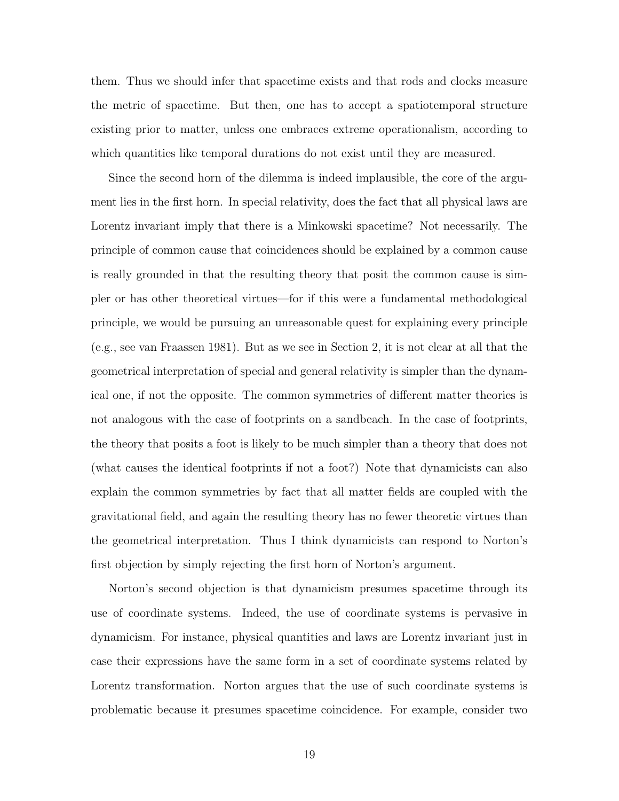them. Thus we should infer that spacetime exists and that rods and clocks measure the metric of spacetime. But then, one has to accept a spatiotemporal structure existing prior to matter, unless one embraces extreme operationalism, according to which quantities like temporal durations do not exist until they are measured.

Since the second horn of the dilemma is indeed implausible, the core of the argument lies in the first horn. In special relativity, does the fact that all physical laws are Lorentz invariant imply that there is a Minkowski spacetime? Not necessarily. The principle of common cause that coincidences should be explained by a common cause is really grounded in that the resulting theory that posit the common cause is simpler or has other theoretical virtues—for if this were a fundamental methodological principle, we would be pursuing an unreasonable quest for explaining every principle (e.g., see van Fraassen 1981). But as we see in Section 2, it is not clear at all that the geometrical interpretation of special and general relativity is simpler than the dynamical one, if not the opposite. The common symmetries of different matter theories is not analogous with the case of footprints on a sandbeach. In the case of footprints, the theory that posits a foot is likely to be much simpler than a theory that does not (what causes the identical footprints if not a foot?) Note that dynamicists can also explain the common symmetries by fact that all matter fields are coupled with the gravitational field, and again the resulting theory has no fewer theoretic virtues than the geometrical interpretation. Thus I think dynamicists can respond to Norton's first objection by simply rejecting the first horn of Norton's argument.

Norton's second objection is that dynamicism presumes spacetime through its use of coordinate systems. Indeed, the use of coordinate systems is pervasive in dynamicism. For instance, physical quantities and laws are Lorentz invariant just in case their expressions have the same form in a set of coordinate systems related by Lorentz transformation. Norton argues that the use of such coordinate systems is problematic because it presumes spacetime coincidence. For example, consider two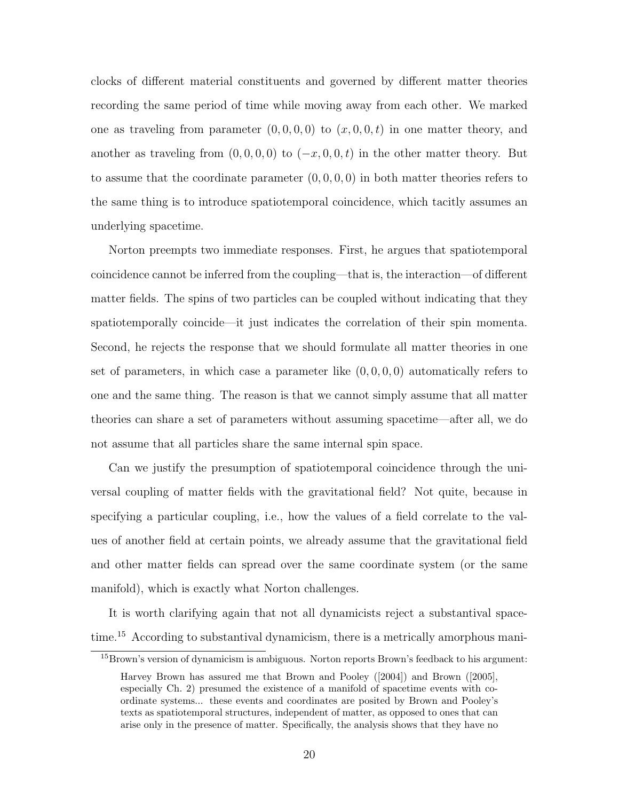clocks of different material constituents and governed by different matter theories recording the same period of time while moving away from each other. We marked one as traveling from parameter  $(0, 0, 0, 0)$  to  $(x, 0, 0, t)$  in one matter theory, and another as traveling from  $(0, 0, 0, 0)$  to  $(-x, 0, 0, t)$  in the other matter theory. But to assume that the coordinate parameter  $(0, 0, 0, 0)$  in both matter theories refers to the same thing is to introduce spatiotemporal coincidence, which tacitly assumes an underlying spacetime.

Norton preempts two immediate responses. First, he argues that spatiotemporal coincidence cannot be inferred from the coupling—that is, the interaction—of different matter fields. The spins of two particles can be coupled without indicating that they spatiotemporally coincide—it just indicates the correlation of their spin momenta. Second, he rejects the response that we should formulate all matter theories in one set of parameters, in which case a parameter like  $(0, 0, 0, 0)$  automatically refers to one and the same thing. The reason is that we cannot simply assume that all matter theories can share a set of parameters without assuming spacetime—after all, we do not assume that all particles share the same internal spin space.

Can we justify the presumption of spatiotemporal coincidence through the universal coupling of matter fields with the gravitational field? Not quite, because in specifying a particular coupling, i.e., how the values of a field correlate to the values of another field at certain points, we already assume that the gravitational field and other matter fields can spread over the same coordinate system (or the same manifold), which is exactly what Norton challenges.

It is worth clarifying again that not all dynamicists reject a substantival spacetime.<sup>15</sup> According to substantival dynamicism, there is a metrically amorphous mani-

<sup>&</sup>lt;sup>15</sup>Brown's version of dynamicism is ambiguous. Norton reports Brown's feedback to his argument:

Harvey Brown has assured me that Brown and Pooley ([2004]) and Brown ([2005], especially Ch. 2) presumed the existence of a manifold of spacetime events with coordinate systems... these events and coordinates are posited by Brown and Pooley's texts as spatiotemporal structures, independent of matter, as opposed to ones that can arise only in the presence of matter. Specifically, the analysis shows that they have no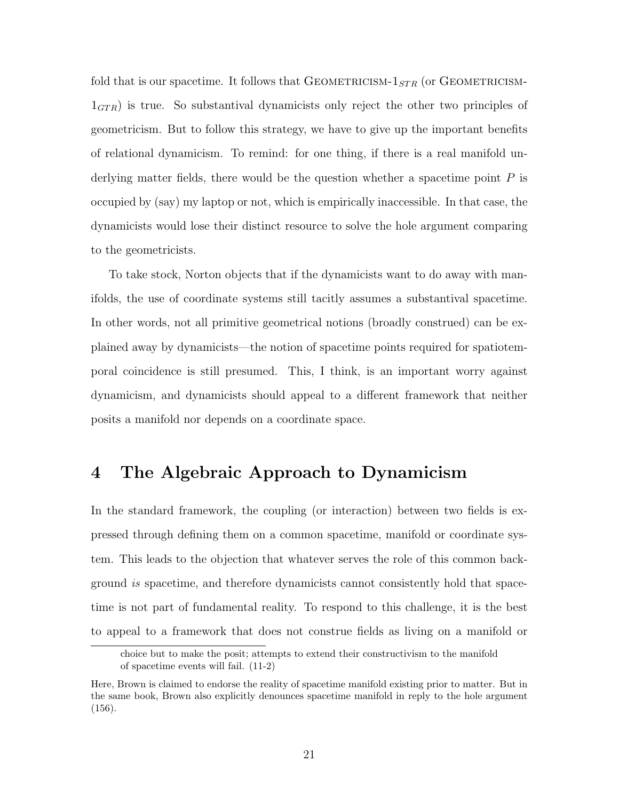fold that is our spacetime. It follows that GEOMETRICISM- $1_{STR}$  (or GEOMETRICISM- $1<sub>GTR</sub>$ ) is true. So substantival dynamicists only reject the other two principles of geometricism. But to follow this strategy, we have to give up the important benefits of relational dynamicism. To remind: for one thing, if there is a real manifold underlying matter fields, there would be the question whether a spacetime point  $P$  is occupied by (say) my laptop or not, which is empirically inaccessible. In that case, the dynamicists would lose their distinct resource to solve the hole argument comparing to the geometricists.

To take stock, Norton objects that if the dynamicists want to do away with manifolds, the use of coordinate systems still tacitly assumes a substantival spacetime. In other words, not all primitive geometrical notions (broadly construed) can be explained away by dynamicists—the notion of spacetime points required for spatiotemporal coincidence is still presumed. This, I think, is an important worry against dynamicism, and dynamicists should appeal to a different framework that neither posits a manifold nor depends on a coordinate space.

### 4 The Algebraic Approach to Dynamicism

In the standard framework, the coupling (or interaction) between two fields is expressed through defining them on a common spacetime, manifold or coordinate system. This leads to the objection that whatever serves the role of this common background is spacetime, and therefore dynamicists cannot consistently hold that spacetime is not part of fundamental reality. To respond to this challenge, it is the best to appeal to a framework that does not construe fields as living on a manifold or

choice but to make the posit; attempts to extend their constructivism to the manifold of spacetime events will fail. (11-2)

Here, Brown is claimed to endorse the reality of spacetime manifold existing prior to matter. But in the same book, Brown also explicitly denounces spacetime manifold in reply to the hole argument (156).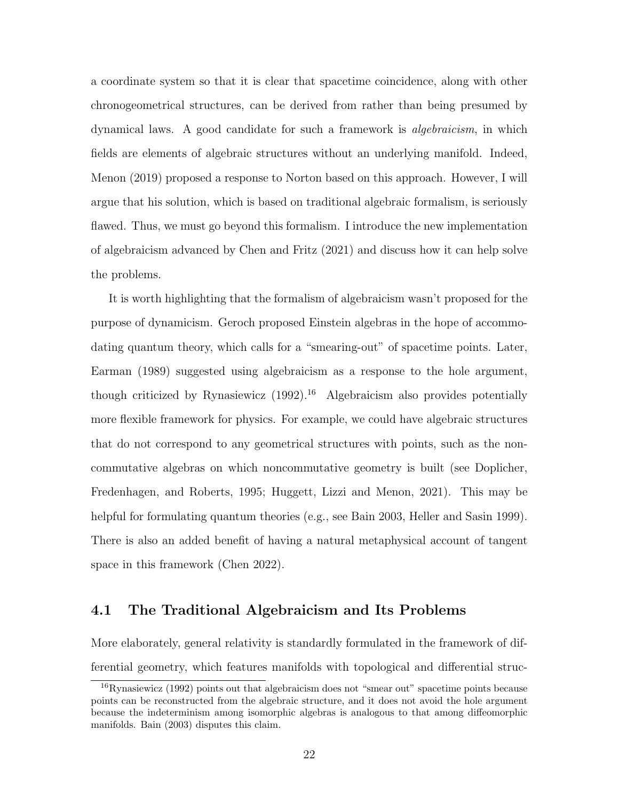a coordinate system so that it is clear that spacetime coincidence, along with other chronogeometrical structures, can be derived from rather than being presumed by dynamical laws. A good candidate for such a framework is algebraicism, in which fields are elements of algebraic structures without an underlying manifold. Indeed, Menon (2019) proposed a response to Norton based on this approach. However, I will argue that his solution, which is based on traditional algebraic formalism, is seriously flawed. Thus, we must go beyond this formalism. I introduce the new implementation of algebraicism advanced by Chen and Fritz (2021) and discuss how it can help solve the problems.

It is worth highlighting that the formalism of algebraicism wasn't proposed for the purpose of dynamicism. Geroch proposed Einstein algebras in the hope of accommodating quantum theory, which calls for a "smearing-out" of spacetime points. Later, Earman (1989) suggested using algebraicism as a response to the hole argument, though criticized by Rynasiewicz  $(1992)$ <sup>16</sup> Algebraicism also provides potentially more flexible framework for physics. For example, we could have algebraic structures that do not correspond to any geometrical structures with points, such as the noncommutative algebras on which noncommutative geometry is built (see Doplicher, Fredenhagen, and Roberts, 1995; Huggett, Lizzi and Menon, 2021). This may be helpful for formulating quantum theories (e.g., see Bain 2003, Heller and Sasin 1999). There is also an added benefit of having a natural metaphysical account of tangent space in this framework (Chen 2022).

#### 4.1 The Traditional Algebraicism and Its Problems

More elaborately, general relativity is standardly formulated in the framework of differential geometry, which features manifolds with topological and differential struc-

<sup>16</sup>Rynasiewicz (1992) points out that algebraicism does not "smear out" spacetime points because points can be reconstructed from the algebraic structure, and it does not avoid the hole argument because the indeterminism among isomorphic algebras is analogous to that among diffeomorphic manifolds. Bain (2003) disputes this claim.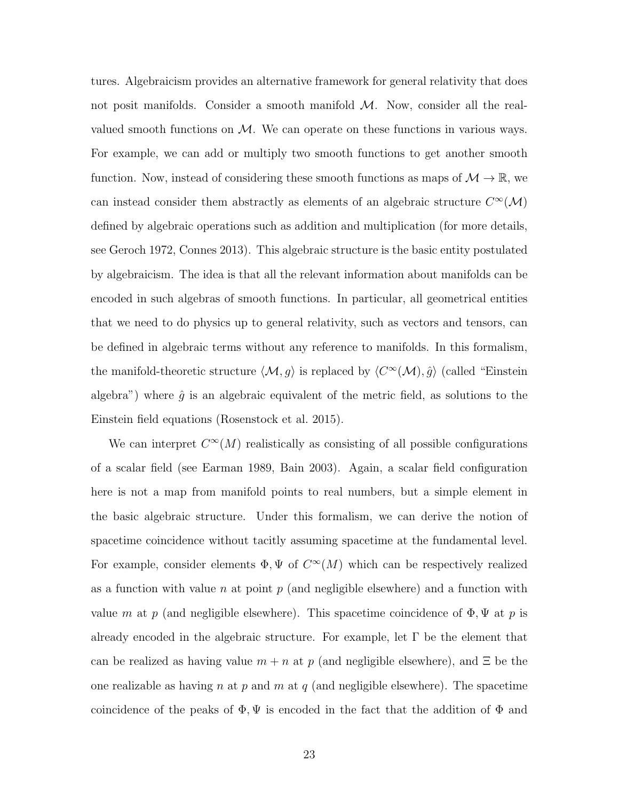tures. Algebraicism provides an alternative framework for general relativity that does not posit manifolds. Consider a smooth manifold  $M$ . Now, consider all the realvalued smooth functions on  $M$ . We can operate on these functions in various ways. For example, we can add or multiply two smooth functions to get another smooth function. Now, instead of considering these smooth functions as maps of  $\mathcal{M} \to \mathbb{R}$ , we can instead consider them abstractly as elements of an algebraic structure  $C^{\infty}(\mathcal{M})$ defined by algebraic operations such as addition and multiplication (for more details, see Geroch 1972, Connes 2013). This algebraic structure is the basic entity postulated by algebraicism. The idea is that all the relevant information about manifolds can be encoded in such algebras of smooth functions. In particular, all geometrical entities that we need to do physics up to general relativity, such as vectors and tensors, can be defined in algebraic terms without any reference to manifolds. In this formalism, the manifold-theoretic structure  $\langle \mathcal{M}, g \rangle$  is replaced by  $\langle C^{\infty}(\mathcal{M}), \hat{g} \rangle$  (called "Einstein algebra") where  $\hat{q}$  is an algebraic equivalent of the metric field, as solutions to the Einstein field equations (Rosenstock et al. 2015).

We can interpret  $C^{\infty}(M)$  realistically as consisting of all possible configurations of a scalar field (see Earman 1989, Bain 2003). Again, a scalar field configuration here is not a map from manifold points to real numbers, but a simple element in the basic algebraic structure. Under this formalism, we can derive the notion of spacetime coincidence without tacitly assuming spacetime at the fundamental level. For example, consider elements  $\Phi, \Psi$  of  $C^{\infty}(M)$  which can be respectively realized as a function with value  $n$  at point  $p$  (and negligible elsewhere) and a function with value m at p (and negligible elsewhere). This spacetime coincidence of  $\Phi$ ,  $\Psi$  at p is already encoded in the algebraic structure. For example, let  $\Gamma$  be the element that can be realized as having value  $m + n$  at p (and negligible elsewhere), and  $\Xi$  be the one realizable as having n at p and m at q (and negligible elsewhere). The spacetime coincidence of the peaks of  $\Phi, \Psi$  is encoded in the fact that the addition of  $\Phi$  and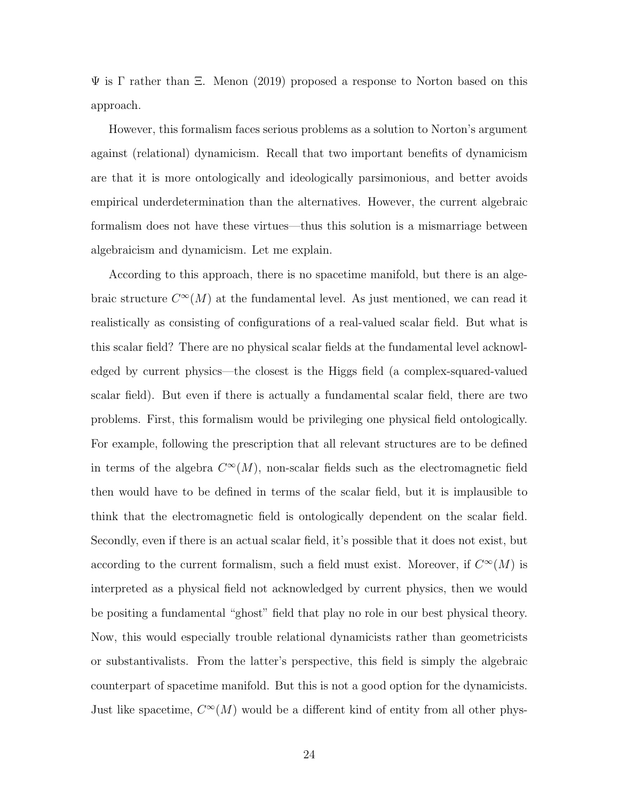$\Psi$  is  $\Gamma$  rather than  $\Xi$ . Menon (2019) proposed a response to Norton based on this approach.

However, this formalism faces serious problems as a solution to Norton's argument against (relational) dynamicism. Recall that two important benefits of dynamicism are that it is more ontologically and ideologically parsimonious, and better avoids empirical underdetermination than the alternatives. However, the current algebraic formalism does not have these virtues—thus this solution is a mismarriage between algebraicism and dynamicism. Let me explain.

According to this approach, there is no spacetime manifold, but there is an algebraic structure  $C^{\infty}(M)$  at the fundamental level. As just mentioned, we can read it realistically as consisting of configurations of a real-valued scalar field. But what is this scalar field? There are no physical scalar fields at the fundamental level acknowledged by current physics—the closest is the Higgs field (a complex-squared-valued scalar field). But even if there is actually a fundamental scalar field, there are two problems. First, this formalism would be privileging one physical field ontologically. For example, following the prescription that all relevant structures are to be defined in terms of the algebra  $C^{\infty}(M)$ , non-scalar fields such as the electromagnetic field then would have to be defined in terms of the scalar field, but it is implausible to think that the electromagnetic field is ontologically dependent on the scalar field. Secondly, even if there is an actual scalar field, it's possible that it does not exist, but according to the current formalism, such a field must exist. Moreover, if  $C^{\infty}(M)$  is interpreted as a physical field not acknowledged by current physics, then we would be positing a fundamental "ghost" field that play no role in our best physical theory. Now, this would especially trouble relational dynamicists rather than geometricists or substantivalists. From the latter's perspective, this field is simply the algebraic counterpart of spacetime manifold. But this is not a good option for the dynamicists. Just like spacetime,  $C^{\infty}(M)$  would be a different kind of entity from all other phys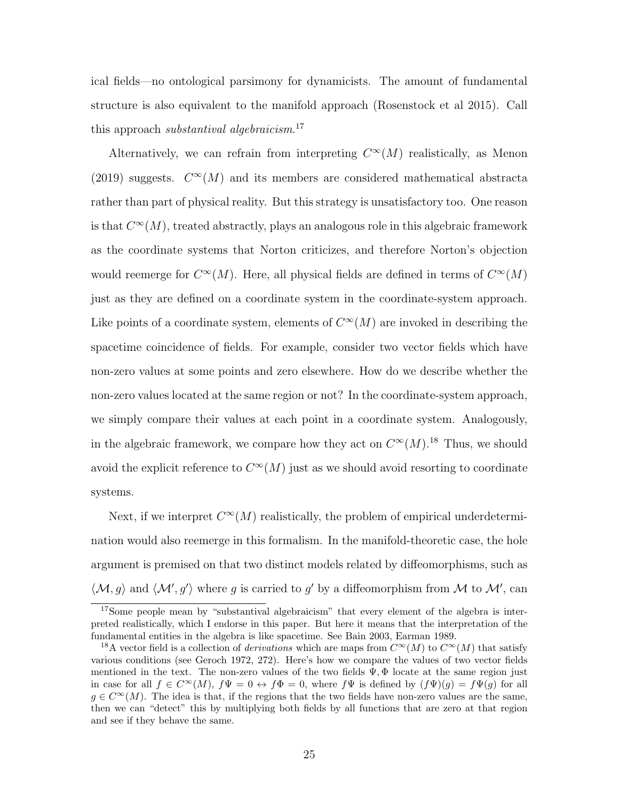ical fields—no ontological parsimony for dynamicists. The amount of fundamental structure is also equivalent to the manifold approach (Rosenstock et al 2015). Call this approach *substantival algebraicism*.<sup>17</sup>

Alternatively, we can refrain from interpreting  $C^{\infty}(M)$  realistically, as Menon (2019) suggests.  $C^{\infty}(M)$  and its members are considered mathematical abstracta rather than part of physical reality. But this strategy is unsatisfactory too. One reason is that  $C^{\infty}(M)$ , treated abstractly, plays an analogous role in this algebraic framework as the coordinate systems that Norton criticizes, and therefore Norton's objection would reemerge for  $C^{\infty}(M)$ . Here, all physical fields are defined in terms of  $C^{\infty}(M)$ just as they are defined on a coordinate system in the coordinate-system approach. Like points of a coordinate system, elements of  $C^{\infty}(M)$  are invoked in describing the spacetime coincidence of fields. For example, consider two vector fields which have non-zero values at some points and zero elsewhere. How do we describe whether the non-zero values located at the same region or not? In the coordinate-system approach, we simply compare their values at each point in a coordinate system. Analogously, in the algebraic framework, we compare how they act on  $C^{\infty}(M)$ .<sup>18</sup> Thus, we should avoid the explicit reference to  $C^{\infty}(M)$  just as we should avoid resorting to coordinate systems.

Next, if we interpret  $C^{\infty}(M)$  realistically, the problem of empirical underdetermination would also reemerge in this formalism. In the manifold-theoretic case, the hole argument is premised on that two distinct models related by diffeomorphisms, such as  $\langle \mathcal{M}, g \rangle$  and  $\langle \mathcal{M}', g' \rangle$  where g is carried to g' by a diffeomorphism from M to M', can

<sup>&</sup>lt;sup>17</sup>Some people mean by "substantival algebraicism" that every element of the algebra is interpreted realistically, which I endorse in this paper. But here it means that the interpretation of the fundamental entities in the algebra is like spacetime. See Bain 2003, Earman 1989.

<sup>&</sup>lt;sup>18</sup>A vector field is a collection of *derivations* which are maps from  $C^{\infty}(M)$  to  $C^{\infty}(M)$  that satisfy various conditions (see Geroch 1972, 272). Here's how we compare the values of two vector fields mentioned in the text. The non-zero values of the two fields  $\Psi$ ,  $\Phi$  locate at the same region just in case for all  $f \in C^{\infty}(M)$ ,  $f\Psi = 0 \leftrightarrow f\Phi = 0$ , where  $f\Psi$  is defined by  $(f\Psi)(g) = f\Psi(g)$  for all  $g \in C^{\infty}(M)$ . The idea is that, if the regions that the two fields have non-zero values are the same, then we can "detect" this by multiplying both fields by all functions that are zero at that region and see if they behave the same.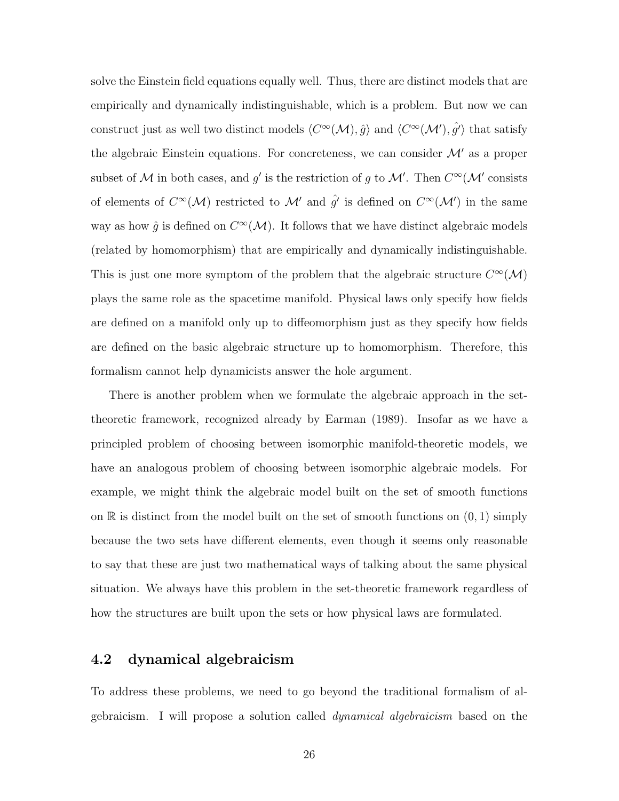solve the Einstein field equations equally well. Thus, there are distinct models that are empirically and dynamically indistinguishable, which is a problem. But now we can construct just as well two distinct models  $\langle C^{\infty}(\mathcal{M}), \hat{g} \rangle$  and  $\langle C^{\infty}(\mathcal{M}'), \hat{g'} \rangle$  that satisfy the algebraic Einstein equations. For concreteness, we can consider  $\mathcal{M}'$  as a proper subset of M in both cases, and g' is the restriction of g to M'. Then  $C^{\infty}(\mathcal{M}'$  consists of elements of  $C^{\infty}(\mathcal{M})$  restricted to  $\mathcal{M}'$  and  $\hat{g}'$  is defined on  $C^{\infty}(\mathcal{M}')$  in the same way as how  $\hat{g}$  is defined on  $C^{\infty}(\mathcal{M})$ . It follows that we have distinct algebraic models (related by homomorphism) that are empirically and dynamically indistinguishable. This is just one more symptom of the problem that the algebraic structure  $C^{\infty}(\mathcal{M})$ plays the same role as the spacetime manifold. Physical laws only specify how fields are defined on a manifold only up to diffeomorphism just as they specify how fields are defined on the basic algebraic structure up to homomorphism. Therefore, this formalism cannot help dynamicists answer the hole argument.

There is another problem when we formulate the algebraic approach in the settheoretic framework, recognized already by Earman (1989). Insofar as we have a principled problem of choosing between isomorphic manifold-theoretic models, we have an analogous problem of choosing between isomorphic algebraic models. For example, we might think the algebraic model built on the set of smooth functions on  $\mathbb R$  is distinct from the model built on the set of smooth functions on  $(0, 1)$  simply because the two sets have different elements, even though it seems only reasonable to say that these are just two mathematical ways of talking about the same physical situation. We always have this problem in the set-theoretic framework regardless of how the structures are built upon the sets or how physical laws are formulated.

#### 4.2 dynamical algebraicism

To address these problems, we need to go beyond the traditional formalism of algebraicism. I will propose a solution called dynamical algebraicism based on the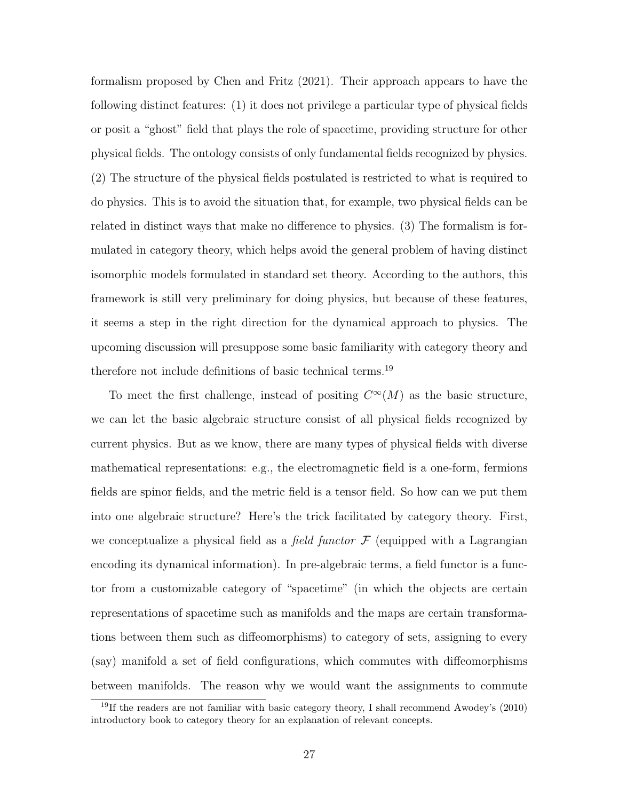formalism proposed by Chen and Fritz (2021). Their approach appears to have the following distinct features: (1) it does not privilege a particular type of physical fields or posit a "ghost" field that plays the role of spacetime, providing structure for other physical fields. The ontology consists of only fundamental fields recognized by physics. (2) The structure of the physical fields postulated is restricted to what is required to do physics. This is to avoid the situation that, for example, two physical fields can be related in distinct ways that make no difference to physics. (3) The formalism is formulated in category theory, which helps avoid the general problem of having distinct isomorphic models formulated in standard set theory. According to the authors, this framework is still very preliminary for doing physics, but because of these features, it seems a step in the right direction for the dynamical approach to physics. The upcoming discussion will presuppose some basic familiarity with category theory and therefore not include definitions of basic technical terms.<sup>19</sup>

To meet the first challenge, instead of positing  $C^{\infty}(M)$  as the basic structure, we can let the basic algebraic structure consist of all physical fields recognized by current physics. But as we know, there are many types of physical fields with diverse mathematical representations: e.g., the electromagnetic field is a one-form, fermions fields are spinor fields, and the metric field is a tensor field. So how can we put them into one algebraic structure? Here's the trick facilitated by category theory. First, we conceptualize a physical field as a *field functor*  $\mathcal F$  (equipped with a Lagrangian encoding its dynamical information). In pre-algebraic terms, a field functor is a functor from a customizable category of "spacetime" (in which the objects are certain representations of spacetime such as manifolds and the maps are certain transformations between them such as diffeomorphisms) to category of sets, assigning to every (say) manifold a set of field configurations, which commutes with diffeomorphisms between manifolds. The reason why we would want the assignments to commute

<sup>&</sup>lt;sup>19</sup>If the readers are not familiar with basic category theory, I shall recommend Awodey's  $(2010)$ introductory book to category theory for an explanation of relevant concepts.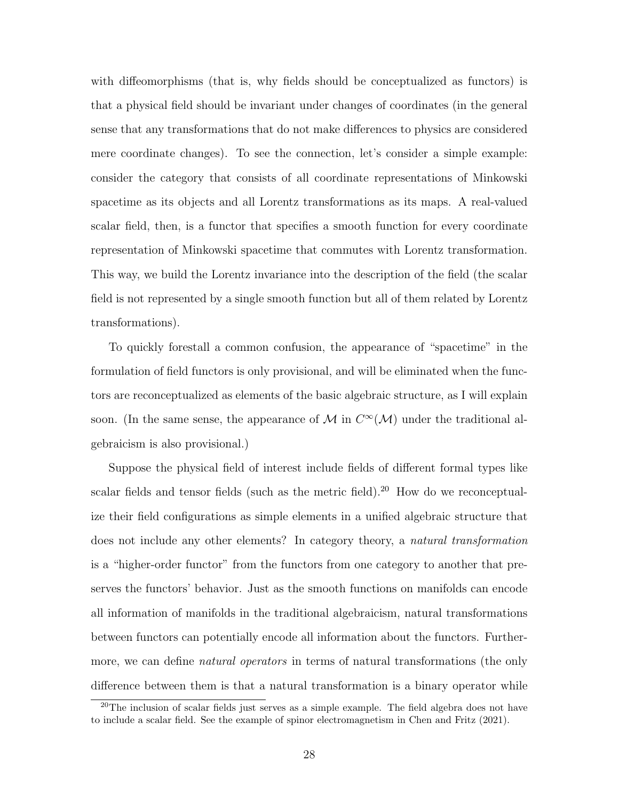with diffeomorphisms (that is, why fields should be conceptualized as functors) is that a physical field should be invariant under changes of coordinates (in the general sense that any transformations that do not make differences to physics are considered mere coordinate changes). To see the connection, let's consider a simple example: consider the category that consists of all coordinate representations of Minkowski spacetime as its objects and all Lorentz transformations as its maps. A real-valued scalar field, then, is a functor that specifies a smooth function for every coordinate representation of Minkowski spacetime that commutes with Lorentz transformation. This way, we build the Lorentz invariance into the description of the field (the scalar field is not represented by a single smooth function but all of them related by Lorentz transformations).

To quickly forestall a common confusion, the appearance of "spacetime" in the formulation of field functors is only provisional, and will be eliminated when the functors are reconceptualized as elements of the basic algebraic structure, as I will explain soon. (In the same sense, the appearance of M in  $C^{\infty}(\mathcal{M})$  under the traditional algebraicism is also provisional.)

Suppose the physical field of interest include fields of different formal types like scalar fields and tensor fields (such as the metric field).<sup>20</sup> How do we reconceptualize their field configurations as simple elements in a unified algebraic structure that does not include any other elements? In category theory, a natural transformation is a "higher-order functor" from the functors from one category to another that preserves the functors' behavior. Just as the smooth functions on manifolds can encode all information of manifolds in the traditional algebraicism, natural transformations between functors can potentially encode all information about the functors. Furthermore, we can define *natural operators* in terms of natural transformations (the only difference between them is that a natural transformation is a binary operator while

<sup>&</sup>lt;sup>20</sup>The inclusion of scalar fields just serves as a simple example. The field algebra does not have to include a scalar field. See the example of spinor electromagnetism in Chen and Fritz (2021).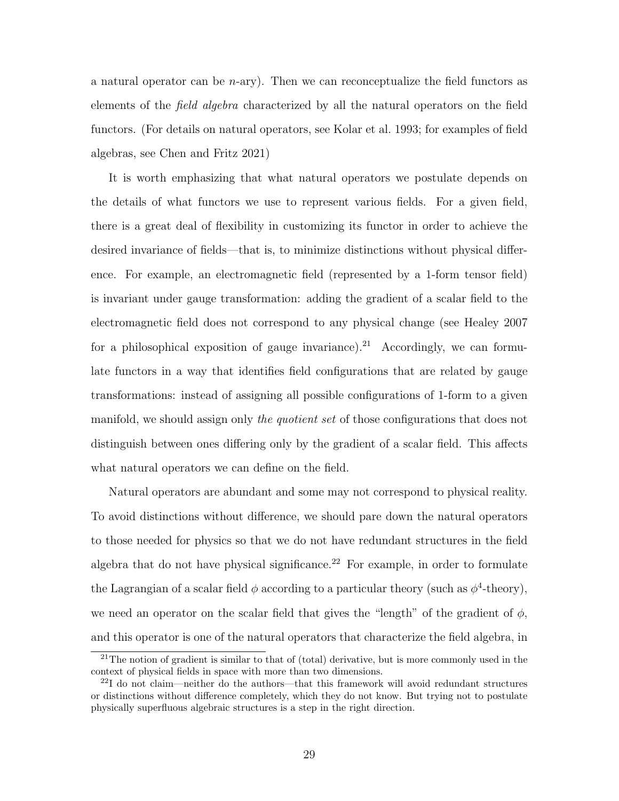a natural operator can be  $n$ -ary). Then we can reconceptualize the field functors as elements of the field algebra characterized by all the natural operators on the field functors. (For details on natural operators, see Kolar et al. 1993; for examples of field algebras, see Chen and Fritz 2021)

It is worth emphasizing that what natural operators we postulate depends on the details of what functors we use to represent various fields. For a given field, there is a great deal of flexibility in customizing its functor in order to achieve the desired invariance of fields—that is, to minimize distinctions without physical difference. For example, an electromagnetic field (represented by a 1-form tensor field) is invariant under gauge transformation: adding the gradient of a scalar field to the electromagnetic field does not correspond to any physical change (see Healey 2007 for a philosophical exposition of gauge invariance).<sup>21</sup> Accordingly, we can formulate functors in a way that identifies field configurations that are related by gauge transformations: instead of assigning all possible configurations of 1-form to a given manifold, we should assign only the quotient set of those configurations that does not distinguish between ones differing only by the gradient of a scalar field. This affects what natural operators we can define on the field.

Natural operators are abundant and some may not correspond to physical reality. To avoid distinctions without difference, we should pare down the natural operators to those needed for physics so that we do not have redundant structures in the field algebra that do not have physical significance.<sup>22</sup> For example, in order to formulate the Lagrangian of a scalar field  $\phi$  according to a particular theory (such as  $\phi^4$ -theory), we need an operator on the scalar field that gives the "length" of the gradient of  $\phi$ , and this operator is one of the natural operators that characterize the field algebra, in

<sup>&</sup>lt;sup>21</sup>The notion of gradient is similar to that of (total) derivative, but is more commonly used in the context of physical fields in space with more than two dimensions.

 $^{22}I$  do not claim—neither do the authors—that this framework will avoid redundant structures or distinctions without difference completely, which they do not know. But trying not to postulate physically superfluous algebraic structures is a step in the right direction.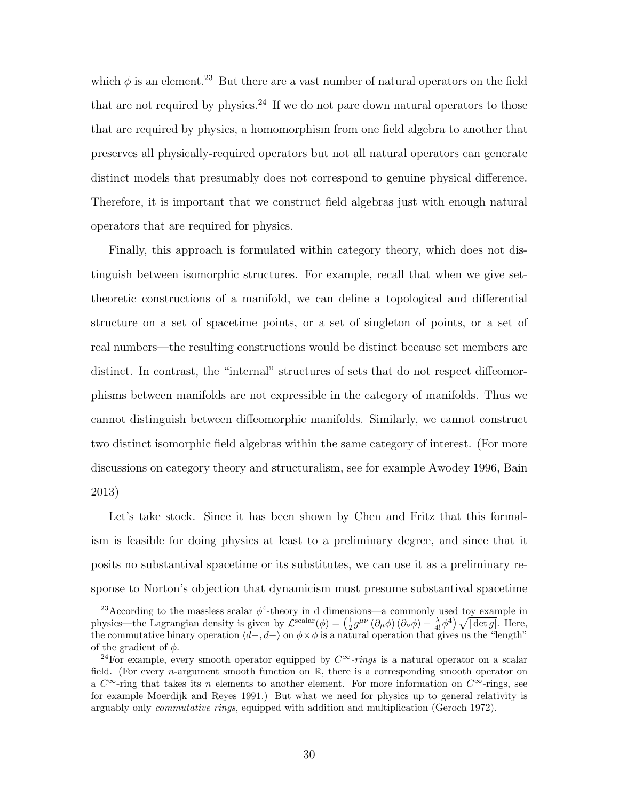which  $\phi$  is an element.<sup>23</sup> But there are a vast number of natural operators on the field that are not required by physics.<sup>24</sup> If we do not pare down natural operators to those that are required by physics, a homomorphism from one field algebra to another that preserves all physically-required operators but not all natural operators can generate distinct models that presumably does not correspond to genuine physical difference. Therefore, it is important that we construct field algebras just with enough natural operators that are required for physics.

Finally, this approach is formulated within category theory, which does not distinguish between isomorphic structures. For example, recall that when we give settheoretic constructions of a manifold, we can define a topological and differential structure on a set of spacetime points, or a set of singleton of points, or a set of real numbers—the resulting constructions would be distinct because set members are distinct. In contrast, the "internal" structures of sets that do not respect diffeomorphisms between manifolds are not expressible in the category of manifolds. Thus we cannot distinguish between diffeomorphic manifolds. Similarly, we cannot construct two distinct isomorphic field algebras within the same category of interest. (For more discussions on category theory and structuralism, see for example Awodey 1996, Bain 2013)

Let's take stock. Since it has been shown by Chen and Fritz that this formalism is feasible for doing physics at least to a preliminary degree, and since that it posits no substantival spacetime or its substitutes, we can use it as a preliminary response to Norton's objection that dynamicism must presume substantival spacetime

<sup>&</sup>lt;sup>23</sup> According to the massless scalar  $\phi^4$ -theory in d dimensions—a commonly used toy example in physics—the Lagrangian density is given by  $\mathcal{L}^{\text{scalar}}(\phi) = \left(\frac{1}{2}g^{\mu\nu}(\partial_{\mu}\phi)(\partial_{\nu}\phi) - \frac{\lambda}{4!}\phi^4\right)\sqrt{|\det g|}$ . Here, the commutative binary operation  $\langle d-, d-\rangle$  on  $\phi\times\phi$  is a natural operation that gives us the "length" of the gradient of  $\phi$ .

<sup>&</sup>lt;sup>24</sup>For example, every smooth operator equipped by  $C^{\infty}$ -rings is a natural operator on a scalar field. (For every *n*-argument smooth function on  $\mathbb{R}$ , there is a corresponding smooth operator on a  $C^{\infty}$ -ring that takes its n elements to another element. For more information on  $C^{\infty}$ -rings, see for example Moerdijk and Reyes 1991.) But what we need for physics up to general relativity is arguably only commutative rings, equipped with addition and multiplication (Geroch 1972).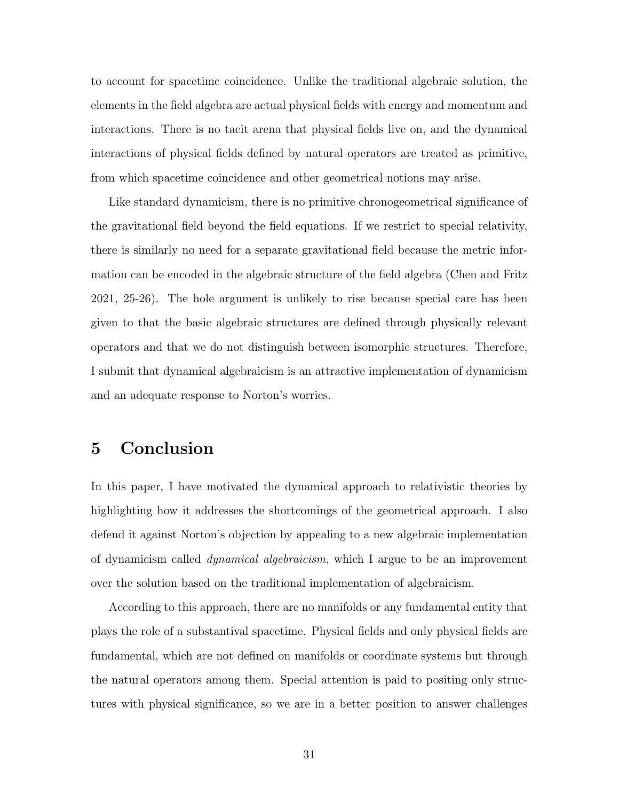to account for spacetime coincidence. Unlike the traditional algebraic solution, the elements in the field algebra are actual physical fields with energy and momentum and interactions. There is no tacit arena that physical fields live on, and the dynamical interactions of physical fields defined by natural operators are treated as primitive, from which spacetime coincidence and other geometrical notions may arise.

Like standard dynamicism, there is no primitive chronogeometrical significance of the gravitational field beyond the field equations. If we restrict to special relativity, there is similarly no need for a separate gravitational field because the metric information can be encoded in the algebraic structure of the field algebra (Chen and Fritz 2021, 25-26). The hole argument is unlikely to rise because special care has been given to that the basic algebraic structures are defined through physically relevant operators and that we do not distinguish between isomorphic structures. Therefore, I submit that dynamical algebraicism is an attractive implementation of dynamicism and an adequate response to Norton's worries.

### 5 Conclusion

In this paper, I have motivated the dynamical approach to relativistic theories by highlighting how it addresses the shortcomings of the geometrical approach. I also defend it against Norton's objection by appealing to a new algebraic implementation of dynamicism called dynamical algebraicism, which I argue to be an improvement over the solution based on the traditional implementation of algebraicism.

According to this approach, there are no manifolds or any fundamental entity that plays the role of a substantival spacetime. Physical fields and only physical fields are fundamental, which are not defined on manifolds or coordinate systems but through the natural operators among them. Special attention is paid to positing only structures with physical significance, so we are in a better position to answer challenges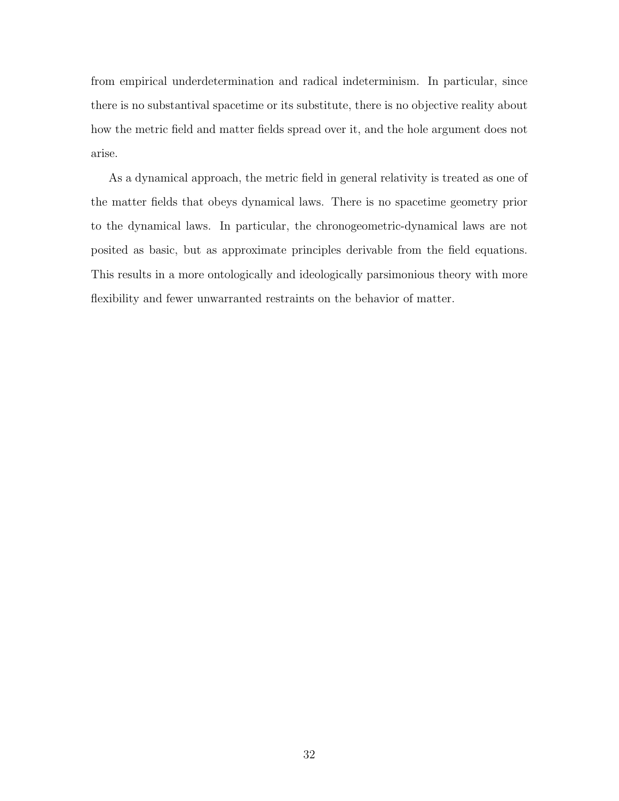from empirical underdetermination and radical indeterminism. In particular, since there is no substantival spacetime or its substitute, there is no objective reality about how the metric field and matter fields spread over it, and the hole argument does not arise.

As a dynamical approach, the metric field in general relativity is treated as one of the matter fields that obeys dynamical laws. There is no spacetime geometry prior to the dynamical laws. In particular, the chronogeometric-dynamical laws are not posited as basic, but as approximate principles derivable from the field equations. This results in a more ontologically and ideologically parsimonious theory with more flexibility and fewer unwarranted restraints on the behavior of matter.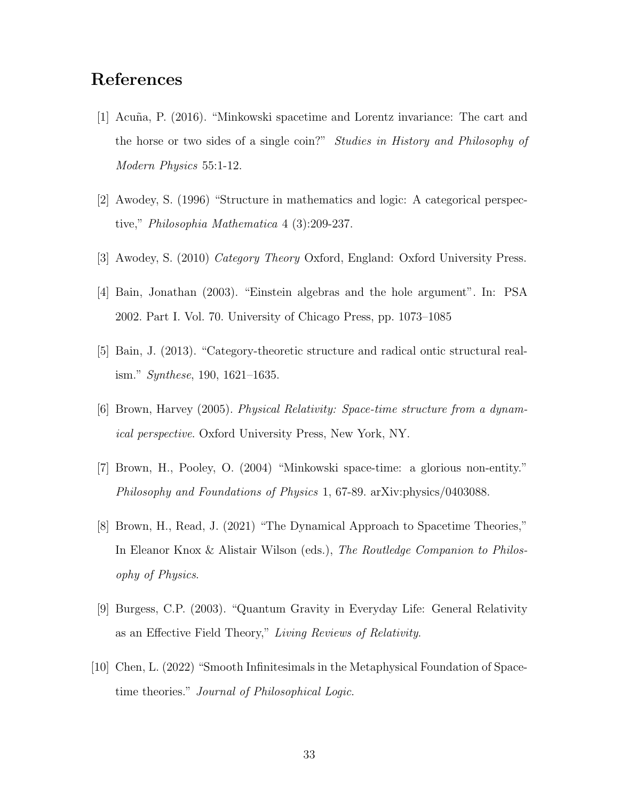# References

- [1] Acu˜na, P. (2016). "Minkowski spacetime and Lorentz invariance: The cart and the horse or two sides of a single coin?" Studies in History and Philosophy of Modern Physics 55:1-12.
- [2] Awodey, S. (1996) "Structure in mathematics and logic: A categorical perspective," Philosophia Mathematica 4 (3):209-237.
- [3] Awodey, S. (2010) Category Theory Oxford, England: Oxford University Press.
- [4] Bain, Jonathan (2003). "Einstein algebras and the hole argument". In: PSA 2002. Part I. Vol. 70. University of Chicago Press, pp. 1073–1085
- [5] Bain, J. (2013). "Category-theoretic structure and radical ontic structural realism." Synthese, 190, 1621–1635.
- [6] Brown, Harvey (2005). Physical Relativity: Space-time structure from a dynamical perspective. Oxford University Press, New York, NY.
- [7] Brown, H., Pooley, O. (2004) "Minkowski space-time: a glorious non-entity." Philosophy and Foundations of Physics 1, 67-89. arXiv:physics/0403088.
- [8] Brown, H., Read, J. (2021) "The Dynamical Approach to Spacetime Theories," In Eleanor Knox & Alistair Wilson (eds.), The Routledge Companion to Philosophy of Physics.
- [9] Burgess, C.P. (2003). "Quantum Gravity in Everyday Life: General Relativity as an Effective Field Theory," Living Reviews of Relativity.
- [10] Chen, L. (2022) "Smooth Infinitesimals in the Metaphysical Foundation of Spacetime theories." Journal of Philosophical Logic.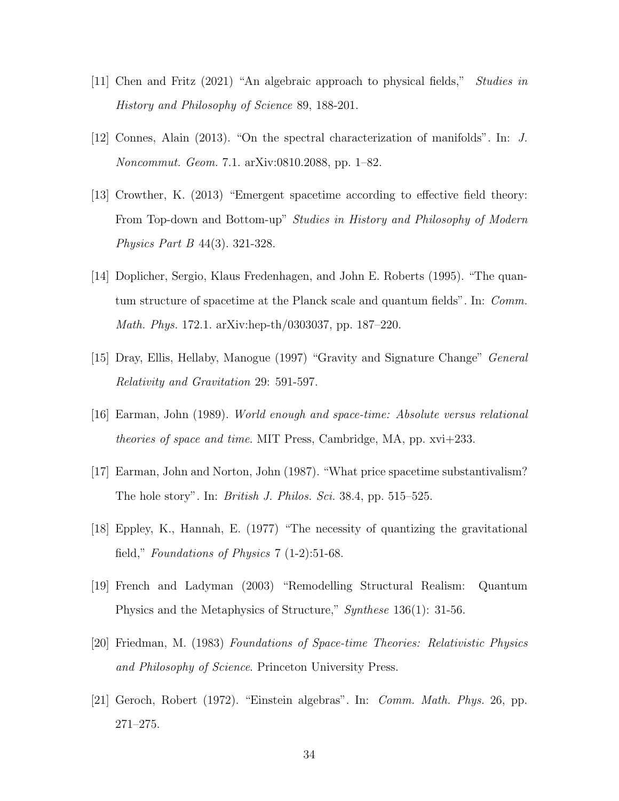- [11] Chen and Fritz (2021) "An algebraic approach to physical fields," Studies in History and Philosophy of Science 89, 188-201.
- [12] Connes, Alain (2013). "On the spectral characterization of manifolds". In: J. Noncommut. Geom. 7.1. arXiv:0810.2088, pp. 1–82.
- [13] Crowther, K. (2013) "Emergent spacetime according to effective field theory: From Top-down and Bottom-up" Studies in History and Philosophy of Modern Physics Part B 44(3). 321-328.
- [14] Doplicher, Sergio, Klaus Fredenhagen, and John E. Roberts (1995). "The quantum structure of spacetime at the Planck scale and quantum fields". In: Comm. Math. Phys. 172.1. arXiv:hep-th/0303037, pp. 187–220.
- [15] Dray, Ellis, Hellaby, Manogue (1997) "Gravity and Signature Change" General Relativity and Gravitation 29: 591-597.
- [16] Earman, John (1989). World enough and space-time: Absolute versus relational theories of space and time. MIT Press, Cambridge, MA, pp. xvi+233.
- [17] Earman, John and Norton, John (1987). "What price spacetime substantivalism? The hole story". In: *British J. Philos. Sci.* 38.4, pp. 515–525.
- [18] Eppley, K., Hannah, E. (1977) "The necessity of quantizing the gravitational field," Foundations of Physics 7 (1-2):51-68.
- [19] French and Ladyman (2003) "Remodelling Structural Realism: Quantum Physics and the Metaphysics of Structure," Synthese 136(1): 31-56.
- [20] Friedman, M. (1983) Foundations of Space-time Theories: Relativistic Physics and Philosophy of Science. Princeton University Press.
- [21] Geroch, Robert (1972). "Einstein algebras". In: Comm. Math. Phys. 26, pp. 271–275.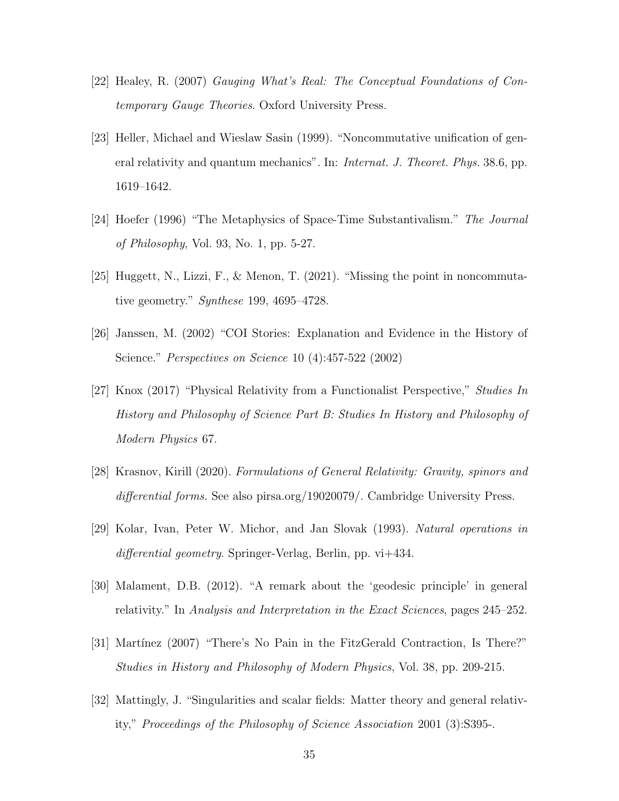- [22] Healey, R. (2007) Gauging What's Real: The Conceptual Foundations of Contemporary Gauge Theories. Oxford University Press.
- [23] Heller, Michael and Wieslaw Sasin (1999). "Noncommutative unification of general relativity and quantum mechanics". In: Internat. J. Theoret. Phys. 38.6, pp. 1619–1642.
- [24] Hoefer (1996) "The Metaphysics of Space-Time Substantivalism." The Journal of Philosophy, Vol. 93, No. 1, pp. 5-27.
- [25] Huggett, N., Lizzi, F., & Menon, T. (2021). "Missing the point in noncommutative geometry." Synthese 199, 4695–4728.
- [26] Janssen, M. (2002) "COI Stories: Explanation and Evidence in the History of Science." Perspectives on Science 10 (4):457-522 (2002)
- [27] Knox (2017) "Physical Relativity from a Functionalist Perspective," Studies In History and Philosophy of Science Part B: Studies In History and Philosophy of Modern Physics 67.
- [28] Krasnov, Kirill (2020). Formulations of General Relativity: Gravity, spinors and differential forms. See also pirsa.org/19020079/. Cambridge University Press.
- [29] Kolar, Ivan, Peter W. Michor, and Jan Slovak (1993). Natural operations in differential geometry. Springer-Verlag, Berlin, pp. vi+434.
- [30] Malament, D.B. (2012). "A remark about the 'geodesic principle' in general relativity." In Analysis and Interpretation in the Exact Sciences, pages 245–252.
- [31] Martínez (2007) "There's No Pain in the FitzGerald Contraction, Is There?" Studies in History and Philosophy of Modern Physics, Vol. 38, pp. 209-215.
- [32] Mattingly, J. "Singularities and scalar fields: Matter theory and general relativity," Proceedings of the Philosophy of Science Association 2001 (3):S395-.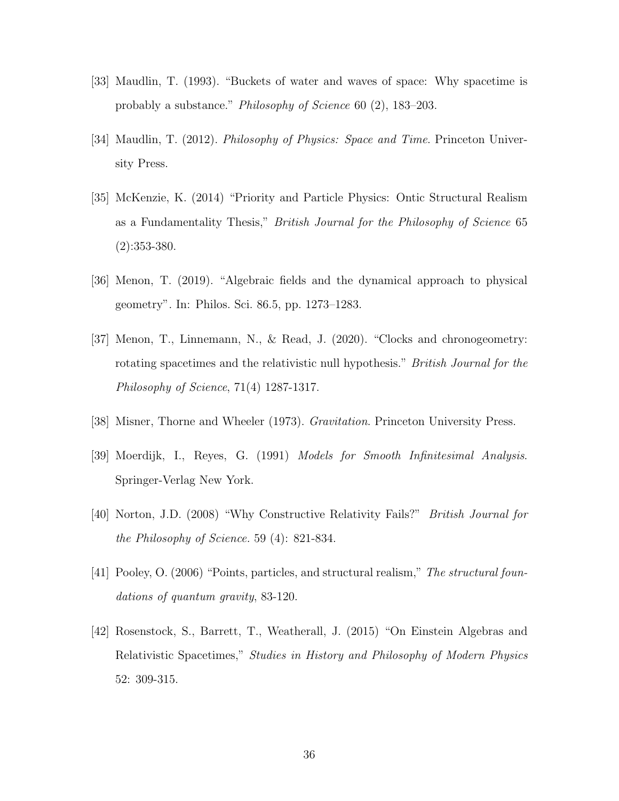- [33] Maudlin, T. (1993). "Buckets of water and waves of space: Why spacetime is probably a substance." Philosophy of Science 60 (2), 183–203.
- [34] Maudlin, T. (2012). Philosophy of Physics: Space and Time. Princeton University Press.
- [35] McKenzie, K. (2014) "Priority and Particle Physics: Ontic Structural Realism as a Fundamentality Thesis," British Journal for the Philosophy of Science 65 (2):353-380.
- [36] Menon, T. (2019). "Algebraic fields and the dynamical approach to physical geometry". In: Philos. Sci. 86.5, pp. 1273–1283.
- [37] Menon, T., Linnemann, N., & Read, J. (2020). "Clocks and chronogeometry: rotating spacetimes and the relativistic null hypothesis." British Journal for the Philosophy of Science, 71(4) 1287-1317.
- [38] Misner, Thorne and Wheeler (1973). Gravitation. Princeton University Press.
- [39] Moerdijk, I., Reyes, G. (1991) Models for Smooth Infinitesimal Analysis. Springer-Verlag New York.
- [40] Norton, J.D. (2008) "Why Constructive Relativity Fails?" British Journal for the Philosophy of Science. 59 (4): 821-834.
- [41] Pooley, O. (2006) "Points, particles, and structural realism," The structural foundations of quantum gravity, 83-120.
- [42] Rosenstock, S., Barrett, T., Weatherall, J. (2015) "On Einstein Algebras and Relativistic Spacetimes," Studies in History and Philosophy of Modern Physics 52: 309-315.